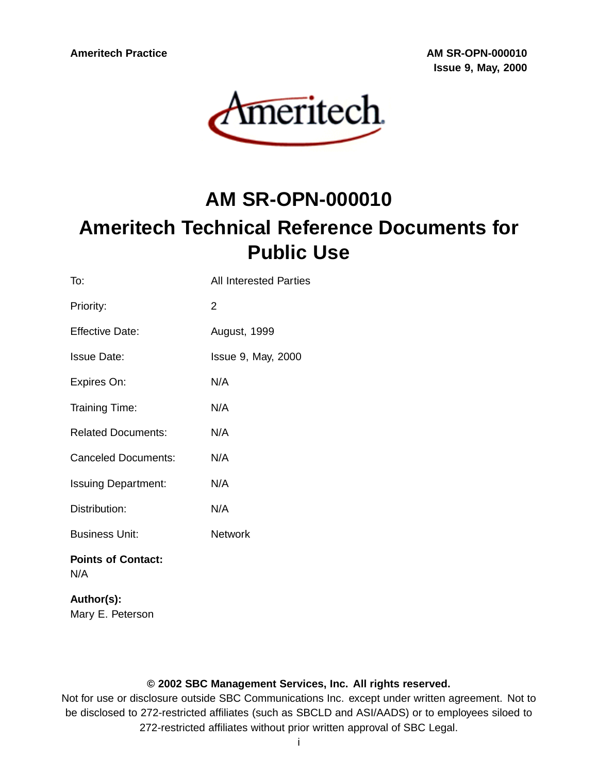**Ameritech Practice AM SR-OPN-000010 Issue 9, May, 2000**



# **AM SR-OPN-000010 Ameritech Technical Reference Documents for Public Use**

| To:                              | <b>All Interested Parties</b> |
|----------------------------------|-------------------------------|
| Priority:                        | $\overline{2}$                |
| <b>Effective Date:</b>           | August, 1999                  |
| <b>Issue Date:</b>               | <b>Issue 9, May, 2000</b>     |
| Expires On:                      | N/A                           |
| Training Time:                   | N/A                           |
| <b>Related Documents:</b>        | N/A                           |
| <b>Canceled Documents:</b>       | N/A                           |
| <b>Issuing Department:</b>       | N/A                           |
| Distribution:                    | N/A                           |
| <b>Business Unit:</b>            | Network                       |
| <b>Points of Contact:</b><br>N/A |                               |

**Author(s):** Mary E. Peterson

#### **© 2002 SBC Management Services, Inc. All rights reserved.**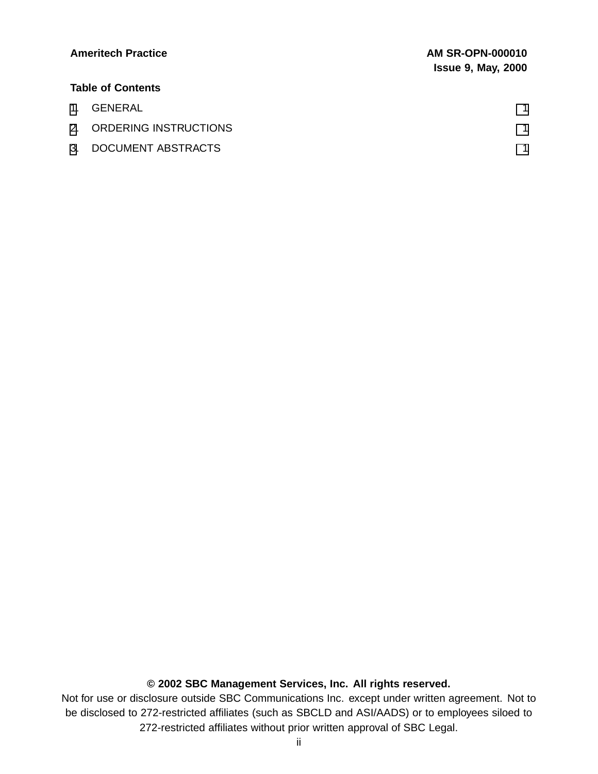| <b>Ameritech Practice</b> |                          | <b>AM SR-OPN-000010</b><br><b>Issue 9, May, 2000</b> |  |
|---------------------------|--------------------------|------------------------------------------------------|--|
|                           | <b>Table of Contents</b> |                                                      |  |
|                           | 1. GENERAL               |                                                      |  |
|                           | 2. ORDERING INSTRUCTIONS |                                                      |  |
| 3.                        | DOCUMENT ABSTRACTS       |                                                      |  |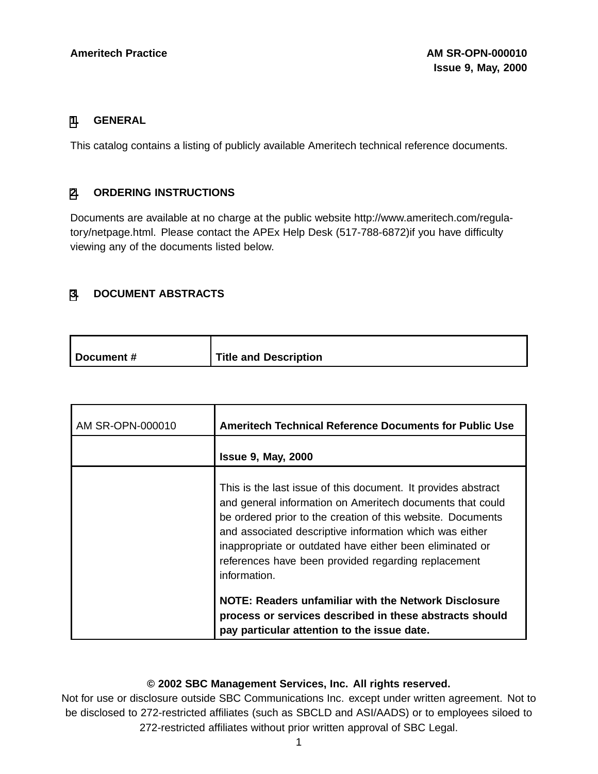#### **[1](#page-2-0). GENERAL**

This catalog contains a listing of publicly available Ameritech technical reference documents.

#### **[2](#page-2-0). ORDERING INSTRUCTIONS**

Documents are available at no charge at the public website http://www.ameritech.com/regulatory/netpage.html. Please contact the APEx Help Desk (517-788-6872)if you have difficulty viewing any of the documents listed below.

#### **[3](#page-2-0). DOCUMENT ABSTRACTS**

| Document# | <b>Title and Description</b> |
|-----------|------------------------------|

| AM SR-OPN-000010 | <b>Ameritech Technical Reference Documents for Public Use</b>                                                                                                                                                                                                                                                                                                                           |
|------------------|-----------------------------------------------------------------------------------------------------------------------------------------------------------------------------------------------------------------------------------------------------------------------------------------------------------------------------------------------------------------------------------------|
|                  | <b>Issue 9, May, 2000</b>                                                                                                                                                                                                                                                                                                                                                               |
|                  | This is the last issue of this document. It provides abstract<br>and general information on Ameritech documents that could<br>be ordered prior to the creation of this website. Documents<br>and associated descriptive information which was either<br>inappropriate or outdated have either been eliminated or<br>references have been provided regarding replacement<br>information. |
|                  | NOTE: Readers unfamiliar with the Network Disclosure<br>process or services described in these abstracts should<br>pay particular attention to the issue date.                                                                                                                                                                                                                          |

#### <span id="page-2-0"></span>**© 2002 SBC Management Services, Inc. All rights reserved.**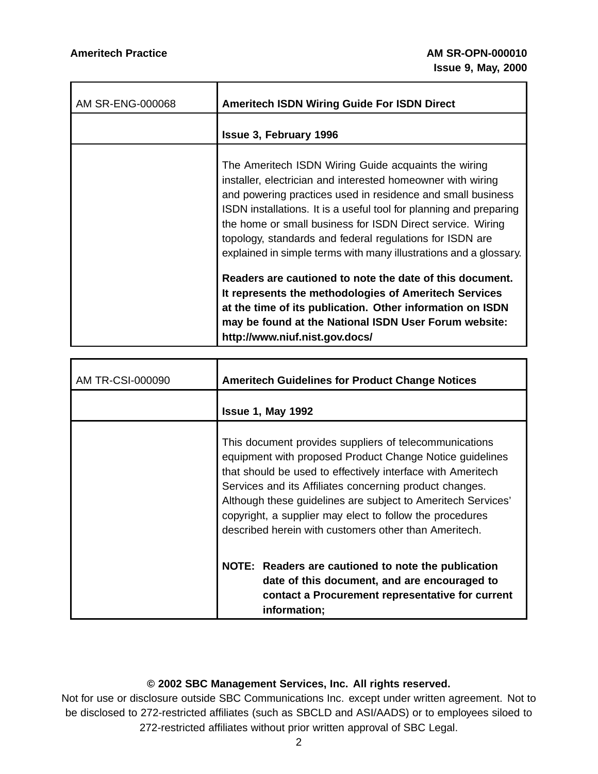| AM SR-ENG-000068 | <b>Ameritech ISDN Wiring Guide For ISDN Direct</b>                                                                                                                                                                                                                                                                                                                                                                                                      |
|------------------|---------------------------------------------------------------------------------------------------------------------------------------------------------------------------------------------------------------------------------------------------------------------------------------------------------------------------------------------------------------------------------------------------------------------------------------------------------|
|                  | <b>Issue 3, February 1996</b>                                                                                                                                                                                                                                                                                                                                                                                                                           |
|                  | The Ameritech ISDN Wiring Guide acquaints the wiring<br>installer, electrician and interested homeowner with wiring<br>and powering practices used in residence and small business<br>ISDN installations. It is a useful tool for planning and preparing<br>the home or small business for ISDN Direct service. Wiring<br>topology, standards and federal regulations for ISDN are<br>explained in simple terms with many illustrations and a glossary. |
|                  | Readers are cautioned to note the date of this document.<br>It represents the methodologies of Ameritech Services<br>at the time of its publication. Other information on ISDN<br>may be found at the National ISDN User Forum website:<br>http://www.niuf.nist.gov.docs/                                                                                                                                                                               |

| AM TR-CSI-000090 | <b>Ameritech Guidelines for Product Change Notices</b>                                                                                                                                                                                                                                                                                                                                                                            |
|------------------|-----------------------------------------------------------------------------------------------------------------------------------------------------------------------------------------------------------------------------------------------------------------------------------------------------------------------------------------------------------------------------------------------------------------------------------|
|                  | <b>Issue 1, May 1992</b>                                                                                                                                                                                                                                                                                                                                                                                                          |
|                  | This document provides suppliers of telecommunications<br>equipment with proposed Product Change Notice guidelines<br>that should be used to effectively interface with Ameritech<br>Services and its Affiliates concerning product changes.<br>Although these guidelines are subject to Ameritech Services'<br>copyright, a supplier may elect to follow the procedures<br>described herein with customers other than Ameritech. |
|                  | NOTE: Readers are cautioned to note the publication<br>date of this document, and are encouraged to<br>contact a Procurement representative for current<br>information;                                                                                                                                                                                                                                                           |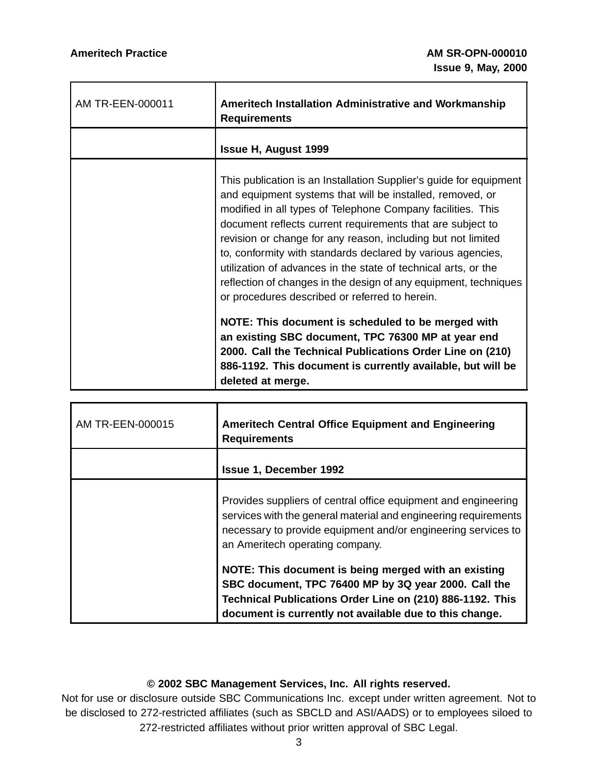T.

| AM TR-EEN-000011 | Ameritech Installation Administrative and Workmanship<br><b>Requirements</b>                                                                                                                                                                                                                                                                                                                                                                                                                                                                                                        |
|------------------|-------------------------------------------------------------------------------------------------------------------------------------------------------------------------------------------------------------------------------------------------------------------------------------------------------------------------------------------------------------------------------------------------------------------------------------------------------------------------------------------------------------------------------------------------------------------------------------|
|                  | <b>Issue H, August 1999</b>                                                                                                                                                                                                                                                                                                                                                                                                                                                                                                                                                         |
|                  | This publication is an Installation Supplier's guide for equipment<br>and equipment systems that will be installed, removed, or<br>modified in all types of Telephone Company facilities. This<br>document reflects current requirements that are subject to<br>revision or change for any reason, including but not limited<br>to, conformity with standards declared by various agencies,<br>utilization of advances in the state of technical arts, or the<br>reflection of changes in the design of any equipment, techniques<br>or procedures described or referred to herein. |
|                  | NOTE: This document is scheduled to be merged with<br>an existing SBC document, TPC 76300 MP at year end                                                                                                                                                                                                                                                                                                                                                                                                                                                                            |
|                  | 2000. Call the Technical Publications Order Line on (210)<br>886-1192. This document is currently available, but will be<br>deleted at merge.                                                                                                                                                                                                                                                                                                                                                                                                                                       |

| AM TR-EEN-000015 | <b>Ameritech Central Office Equipment and Engineering</b><br><b>Requirements</b>                                                                                                                                                      |
|------------------|---------------------------------------------------------------------------------------------------------------------------------------------------------------------------------------------------------------------------------------|
|                  | <b>Issue 1, December 1992</b>                                                                                                                                                                                                         |
|                  | Provides suppliers of central office equipment and engineering<br>services with the general material and engineering requirements<br>necessary to provide equipment and/or engineering services to<br>an Ameritech operating company. |
|                  | NOTE: This document is being merged with an existing<br>SBC document, TPC 76400 MP by 3Q year 2000. Call the<br>Technical Publications Order Line on (210) 886-1192. This<br>document is currently not available due to this change.  |

# **© 2002 SBC Management Services, Inc. All rights reserved.**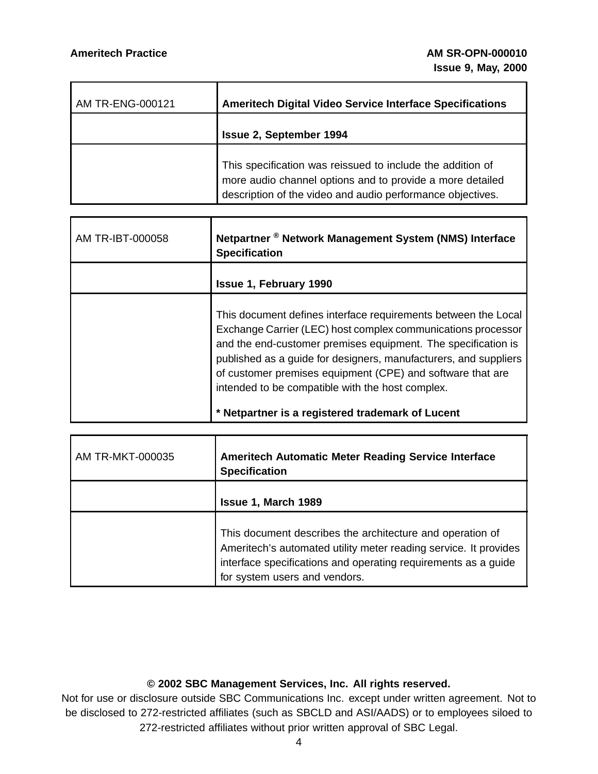r

| AM TR-ENG-000121 | Ameritech Digital Video Service Interface Specifications                                                                                                                              |
|------------------|---------------------------------------------------------------------------------------------------------------------------------------------------------------------------------------|
|                  | <b>Issue 2, September 1994</b>                                                                                                                                                        |
|                  | This specification was reissued to include the addition of<br>more audio channel options and to provide a more detailed<br>description of the video and audio performance objectives. |

| Netpartner <sup>®</sup> Network Management System (NMS) Interface<br><b>Specification</b>                                                                                                                                                                                                                                                                                                                                                 |
|-------------------------------------------------------------------------------------------------------------------------------------------------------------------------------------------------------------------------------------------------------------------------------------------------------------------------------------------------------------------------------------------------------------------------------------------|
| <b>Issue 1, February 1990</b>                                                                                                                                                                                                                                                                                                                                                                                                             |
| This document defines interface requirements between the Local<br>Exchange Carrier (LEC) host complex communications processor<br>and the end-customer premises equipment. The specification is<br>published as a guide for designers, manufacturers, and suppliers<br>of customer premises equipment (CPE) and software that are<br>intended to be compatible with the host complex.<br>* Netpartner is a registered trademark of Lucent |
|                                                                                                                                                                                                                                                                                                                                                                                                                                           |

| AM TR-MKT-000035 | <b>Ameritech Automatic Meter Reading Service Interface</b><br><b>Specification</b>                                                                                                                                               |
|------------------|----------------------------------------------------------------------------------------------------------------------------------------------------------------------------------------------------------------------------------|
|                  | <b>Issue 1, March 1989</b>                                                                                                                                                                                                       |
|                  | This document describes the architecture and operation of<br>Ameritech's automated utility meter reading service. It provides<br>interface specifications and operating requirements as a guide<br>for system users and vendors. |

#### **© 2002 SBC Management Services, Inc. All rights reserved.**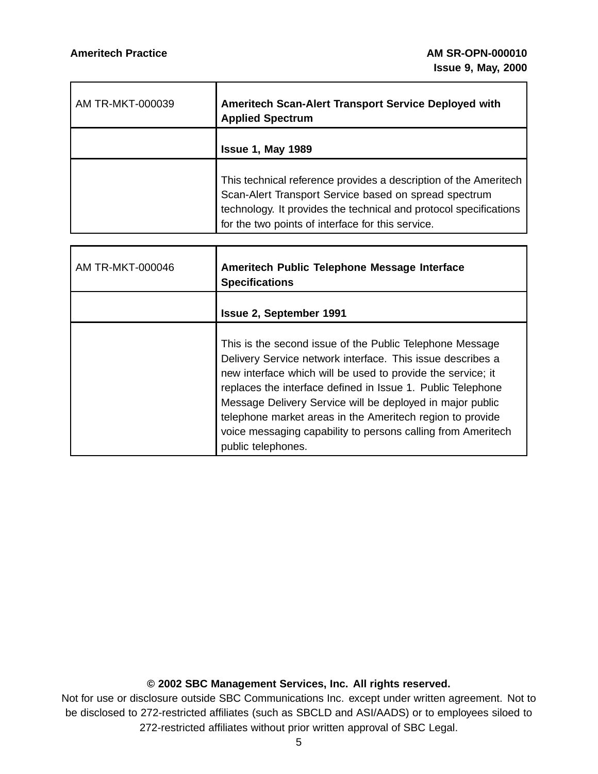| AM TR-MKT-000039 | Ameritech Scan-Alert Transport Service Deployed with<br><b>Applied Spectrum</b>                                                                                                                                                                     |
|------------------|-----------------------------------------------------------------------------------------------------------------------------------------------------------------------------------------------------------------------------------------------------|
|                  | <b>Issue 1, May 1989</b>                                                                                                                                                                                                                            |
|                  | This technical reference provides a description of the Ameritech<br>Scan-Alert Transport Service based on spread spectrum<br>technology. It provides the technical and protocol specifications<br>for the two points of interface for this service. |

| AM TR-MKT-000046 | Ameritech Public Telephone Message Interface<br><b>Specifications</b>                                                                                                                                                                                                                                                                                                                                                                                                |
|------------------|----------------------------------------------------------------------------------------------------------------------------------------------------------------------------------------------------------------------------------------------------------------------------------------------------------------------------------------------------------------------------------------------------------------------------------------------------------------------|
|                  | <b>Issue 2, September 1991</b>                                                                                                                                                                                                                                                                                                                                                                                                                                       |
|                  | This is the second issue of the Public Telephone Message<br>Delivery Service network interface. This issue describes a<br>new interface which will be used to provide the service; it<br>replaces the interface defined in Issue 1. Public Telephone<br>Message Delivery Service will be deployed in major public<br>telephone market areas in the Ameritech region to provide<br>voice messaging capability to persons calling from Ameritech<br>public telephones. |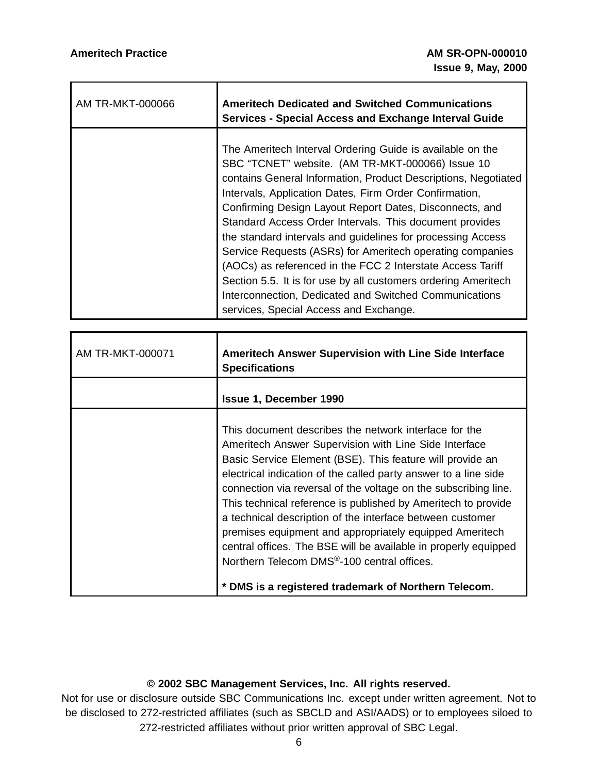| AM TR-MKT-000066 | <b>Ameritech Dedicated and Switched Communications</b><br>Services - Special Access and Exchange Interval Guide                                                                                                                                                                                                                                                                                                                                                                                                                                                                                                                                                                                                                 |
|------------------|---------------------------------------------------------------------------------------------------------------------------------------------------------------------------------------------------------------------------------------------------------------------------------------------------------------------------------------------------------------------------------------------------------------------------------------------------------------------------------------------------------------------------------------------------------------------------------------------------------------------------------------------------------------------------------------------------------------------------------|
|                  | The Ameritech Interval Ordering Guide is available on the<br>SBC "TCNET" website. (AM TR-MKT-000066) Issue 10<br>contains General Information, Product Descriptions, Negotiated<br>Intervals, Application Dates, Firm Order Confirmation,<br>Confirming Design Layout Report Dates, Disconnects, and<br>Standard Access Order Intervals. This document provides<br>the standard intervals and guidelines for processing Access<br>Service Requests (ASRs) for Ameritech operating companies<br>(AOCs) as referenced in the FCC 2 Interstate Access Tariff<br>Section 5.5. It is for use by all customers ordering Ameritech<br>Interconnection, Dedicated and Switched Communications<br>services, Special Access and Exchange. |

| AM TR-MKT-000071 | <b>Ameritech Answer Supervision with Line Side Interface</b><br><b>Specifications</b>                                                                                                                                                                                                                                                                                                                                                                                                                                                                                                                                                                                               |
|------------------|-------------------------------------------------------------------------------------------------------------------------------------------------------------------------------------------------------------------------------------------------------------------------------------------------------------------------------------------------------------------------------------------------------------------------------------------------------------------------------------------------------------------------------------------------------------------------------------------------------------------------------------------------------------------------------------|
|                  | <b>Issue 1, December 1990</b>                                                                                                                                                                                                                                                                                                                                                                                                                                                                                                                                                                                                                                                       |
|                  | This document describes the network interface for the<br>Ameritech Answer Supervision with Line Side Interface<br>Basic Service Element (BSE). This feature will provide an<br>electrical indication of the called party answer to a line side<br>connection via reversal of the voltage on the subscribing line.<br>This technical reference is published by Ameritech to provide<br>a technical description of the interface between customer<br>premises equipment and appropriately equipped Ameritech<br>central offices. The BSE will be available in properly equipped<br>Northern Telecom DMS®-100 central offices.<br>* DMS is a registered trademark of Northern Telecom. |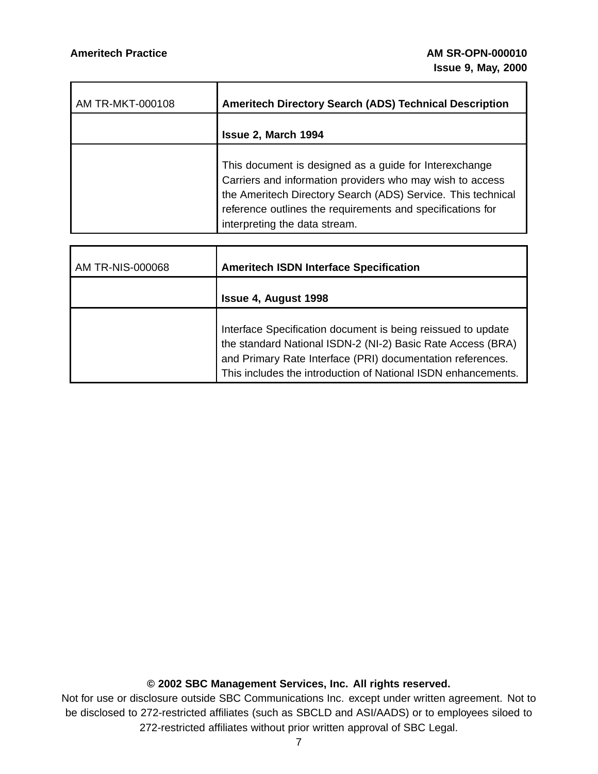| AM TR-MKT-000108 | <b>Ameritech Directory Search (ADS) Technical Description</b>                                                                                                                                                                                                                      |
|------------------|------------------------------------------------------------------------------------------------------------------------------------------------------------------------------------------------------------------------------------------------------------------------------------|
|                  | <b>Issue 2, March 1994</b>                                                                                                                                                                                                                                                         |
|                  | This document is designed as a guide for Interexchange<br>Carriers and information providers who may wish to access<br>the Ameritech Directory Search (ADS) Service. This technical<br>reference outlines the requirements and specifications for<br>interpreting the data stream. |

| AM TR-NIS-000068 | <b>Ameritech ISDN Interface Specification</b>                                                                                                                                                                                                              |
|------------------|------------------------------------------------------------------------------------------------------------------------------------------------------------------------------------------------------------------------------------------------------------|
|                  | <b>Issue 4, August 1998</b>                                                                                                                                                                                                                                |
|                  | Interface Specification document is being reissued to update<br>the standard National ISDN-2 (NI-2) Basic Rate Access (BRA)<br>and Primary Rate Interface (PRI) documentation references.<br>This includes the introduction of National ISDN enhancements. |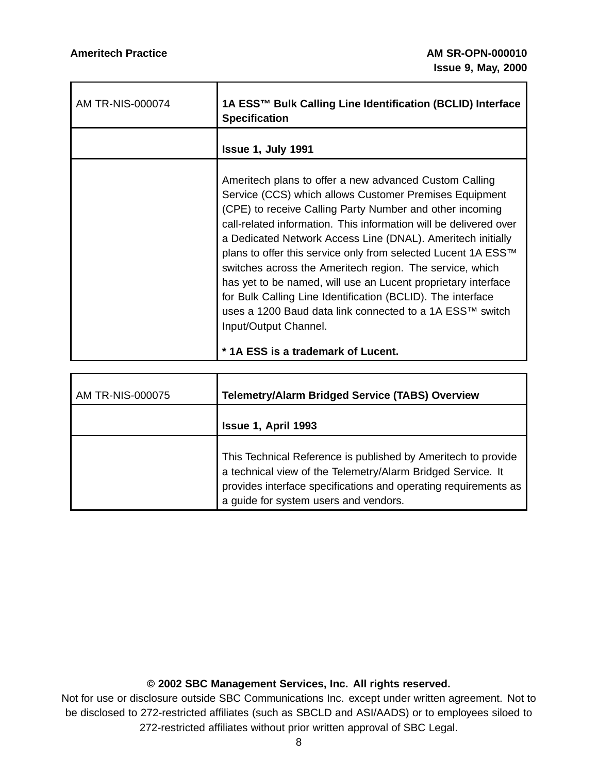Ē

Ē

 $\overline{\phantom{a}}$ 

| <b>AM TR-NIS-000074</b> | 1A ESS™ Bulk Calling Line Identification (BCLID) Interface<br><b>Specification</b>                                                                                                                                                                                                                                                                                                                                                                                                                                                                                                                                                                                 |
|-------------------------|--------------------------------------------------------------------------------------------------------------------------------------------------------------------------------------------------------------------------------------------------------------------------------------------------------------------------------------------------------------------------------------------------------------------------------------------------------------------------------------------------------------------------------------------------------------------------------------------------------------------------------------------------------------------|
|                         | <b>Issue 1, July 1991</b>                                                                                                                                                                                                                                                                                                                                                                                                                                                                                                                                                                                                                                          |
|                         | Ameritech plans to offer a new advanced Custom Calling<br>Service (CCS) which allows Customer Premises Equipment<br>(CPE) to receive Calling Party Number and other incoming<br>call-related information. This information will be delivered over<br>a Dedicated Network Access Line (DNAL). Ameritech initially<br>plans to offer this service only from selected Lucent 1A ESS™<br>switches across the Ameritech region. The service, which<br>has yet to be named, will use an Lucent proprietary interface<br>for Bulk Calling Line Identification (BCLID). The interface<br>uses a 1200 Baud data link connected to a 1A ESS™ switch<br>Input/Output Channel. |
|                         | * 1A ESS is a trademark of Lucent.                                                                                                                                                                                                                                                                                                                                                                                                                                                                                                                                                                                                                                 |

| AM TR-NIS-000075 | <b>Telemetry/Alarm Bridged Service (TABS) Overview</b>                                                                                                                                                                                   |
|------------------|------------------------------------------------------------------------------------------------------------------------------------------------------------------------------------------------------------------------------------------|
|                  | Issue 1, April 1993                                                                                                                                                                                                                      |
|                  | This Technical Reference is published by Ameritech to provide<br>a technical view of the Telemetry/Alarm Bridged Service. It<br>provides interface specifications and operating requirements as<br>a guide for system users and vendors. |

#### **© 2002 SBC Management Services, Inc. All rights reserved.**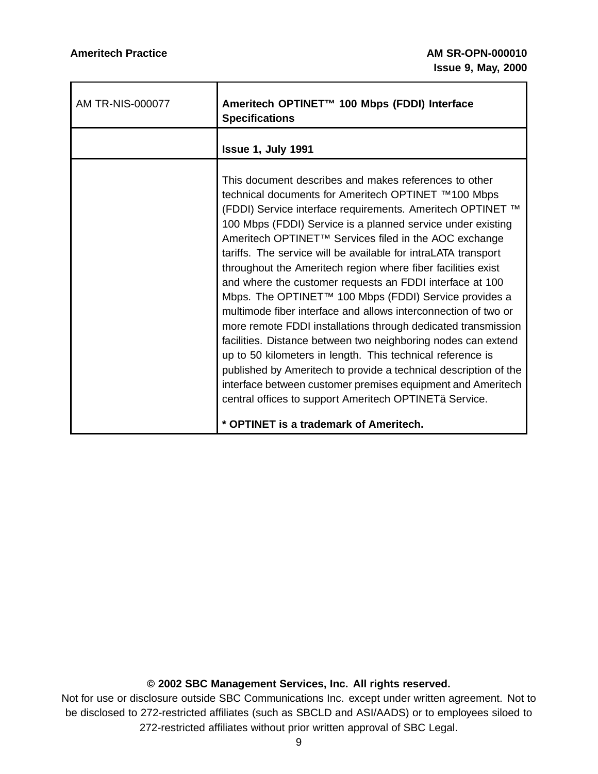$\mathbf{\tau}$ 

 $\overline{\mathbf{1}}$ 

| <b>AM TR-NIS-000077</b> | Ameritech OPTINET™ 100 Mbps (FDDI) Interface<br><b>Specifications</b>                                                                                                                                                                                                                                                                                                                                                                                                                                                                                                                                                                                                                                                                                                                                                                                                                                                                                                                                                                 |
|-------------------------|---------------------------------------------------------------------------------------------------------------------------------------------------------------------------------------------------------------------------------------------------------------------------------------------------------------------------------------------------------------------------------------------------------------------------------------------------------------------------------------------------------------------------------------------------------------------------------------------------------------------------------------------------------------------------------------------------------------------------------------------------------------------------------------------------------------------------------------------------------------------------------------------------------------------------------------------------------------------------------------------------------------------------------------|
|                         | Issue 1, July 1991                                                                                                                                                                                                                                                                                                                                                                                                                                                                                                                                                                                                                                                                                                                                                                                                                                                                                                                                                                                                                    |
|                         | This document describes and makes references to other<br>technical documents for Ameritech OPTINET ™100 Mbps<br>(FDDI) Service interface requirements. Ameritech OPTINET ™<br>100 Mbps (FDDI) Service is a planned service under existing<br>Ameritech OPTINET <sup>™</sup> Services filed in the AOC exchange<br>tariffs. The service will be available for intraLATA transport<br>throughout the Ameritech region where fiber facilities exist<br>and where the customer requests an FDDI interface at 100<br>Mbps. The OPTINET™ 100 Mbps (FDDI) Service provides a<br>multimode fiber interface and allows interconnection of two or<br>more remote FDDI installations through dedicated transmission<br>facilities. Distance between two neighboring nodes can extend<br>up to 50 kilometers in length. This technical reference is<br>published by Ameritech to provide a technical description of the<br>interface between customer premises equipment and Ameritech<br>central offices to support Ameritech OPTINET ä Service. |
|                         | * OPTINET is a trademark of Ameritech.                                                                                                                                                                                                                                                                                                                                                                                                                                                                                                                                                                                                                                                                                                                                                                                                                                                                                                                                                                                                |

# **© 2002 SBC Management Services, Inc. All rights reserved.**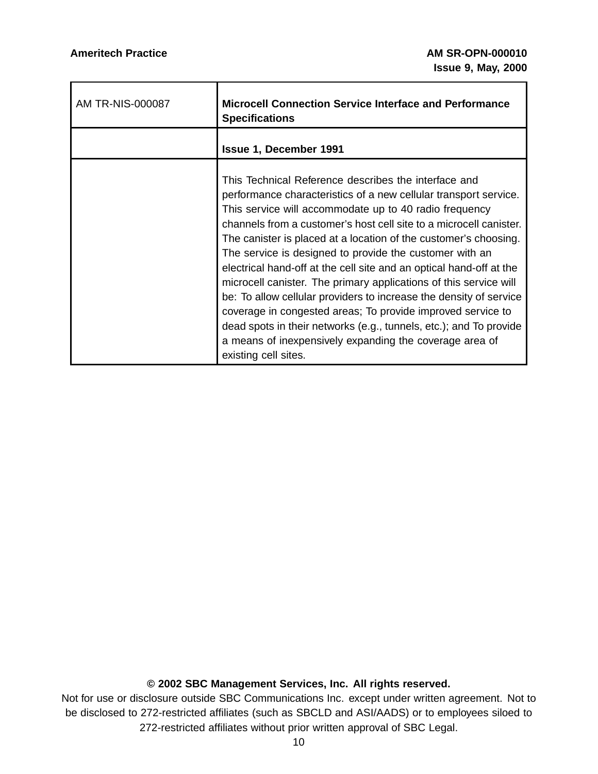Г

 $\overline{\mathsf{T}}$ 

 $\overline{\mathbf{1}}$ 

| AM TR-NIS-000087 | <b>Microcell Connection Service Interface and Performance</b><br><b>Specifications</b>                                                                                                                                                                                                                                                                                                                                                                                                                                                                                                                                                                                                                                                                                                                                            |
|------------------|-----------------------------------------------------------------------------------------------------------------------------------------------------------------------------------------------------------------------------------------------------------------------------------------------------------------------------------------------------------------------------------------------------------------------------------------------------------------------------------------------------------------------------------------------------------------------------------------------------------------------------------------------------------------------------------------------------------------------------------------------------------------------------------------------------------------------------------|
|                  | <b>Issue 1, December 1991</b>                                                                                                                                                                                                                                                                                                                                                                                                                                                                                                                                                                                                                                                                                                                                                                                                     |
|                  | This Technical Reference describes the interface and<br>performance characteristics of a new cellular transport service.<br>This service will accommodate up to 40 radio frequency<br>channels from a customer's host cell site to a microcell canister.<br>The canister is placed at a location of the customer's choosing.<br>The service is designed to provide the customer with an<br>electrical hand-off at the cell site and an optical hand-off at the<br>microcell canister. The primary applications of this service will<br>be: To allow cellular providers to increase the density of service<br>coverage in congested areas; To provide improved service to<br>dead spots in their networks (e.g., tunnels, etc.); and To provide<br>a means of inexpensively expanding the coverage area of<br>existing cell sites. |

# **© 2002 SBC Management Services, Inc. All rights reserved.**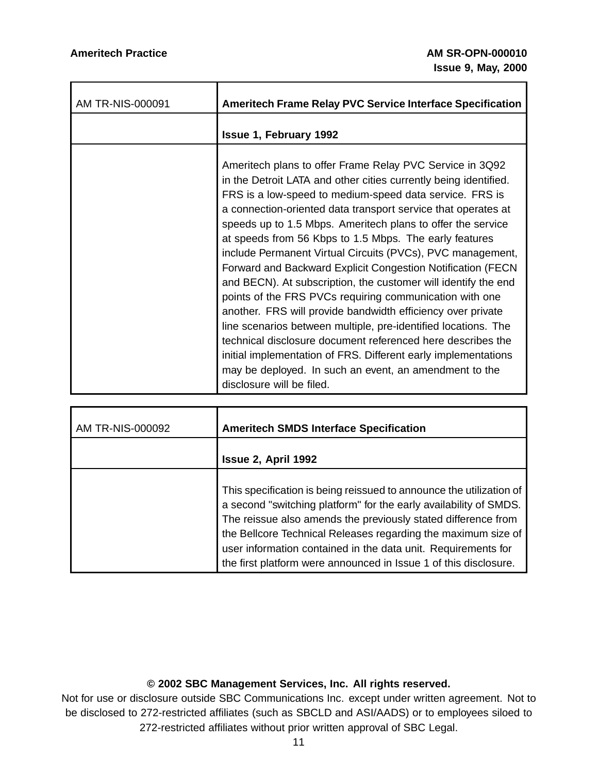| AM TR-NIS-000091 | <b>Ameritech Frame Relay PVC Service Interface Specification</b>                                                                                                                                                                                                                                                                                                                                                                                                                                                                                                                                                                                                                                                                                                                                                                                                                                                                                                                                     |
|------------------|------------------------------------------------------------------------------------------------------------------------------------------------------------------------------------------------------------------------------------------------------------------------------------------------------------------------------------------------------------------------------------------------------------------------------------------------------------------------------------------------------------------------------------------------------------------------------------------------------------------------------------------------------------------------------------------------------------------------------------------------------------------------------------------------------------------------------------------------------------------------------------------------------------------------------------------------------------------------------------------------------|
|                  | <b>Issue 1, February 1992</b>                                                                                                                                                                                                                                                                                                                                                                                                                                                                                                                                                                                                                                                                                                                                                                                                                                                                                                                                                                        |
|                  | Ameritech plans to offer Frame Relay PVC Service in 3Q92<br>in the Detroit LATA and other cities currently being identified.<br>FRS is a low-speed to medium-speed data service. FRS is<br>a connection-oriented data transport service that operates at<br>speeds up to 1.5 Mbps. Ameritech plans to offer the service<br>at speeds from 56 Kbps to 1.5 Mbps. The early features<br>include Permanent Virtual Circuits (PVCs), PVC management,<br>Forward and Backward Explicit Congestion Notification (FECN<br>and BECN). At subscription, the customer will identify the end<br>points of the FRS PVCs requiring communication with one<br>another. FRS will provide bandwidth efficiency over private<br>line scenarios between multiple, pre-identified locations. The<br>technical disclosure document referenced here describes the<br>initial implementation of FRS. Different early implementations<br>may be deployed. In such an event, an amendment to the<br>disclosure will be filed. |

| AM TR-NIS-000092 | <b>Ameritech SMDS Interface Specification</b>                                                                                                                                                                                                                                                                                                                                                                   |
|------------------|-----------------------------------------------------------------------------------------------------------------------------------------------------------------------------------------------------------------------------------------------------------------------------------------------------------------------------------------------------------------------------------------------------------------|
|                  | <b>Issue 2, April 1992</b>                                                                                                                                                                                                                                                                                                                                                                                      |
|                  | This specification is being reissued to announce the utilization of<br>a second "switching platform" for the early availability of SMDS.<br>The reissue also amends the previously stated difference from<br>the Bellcore Technical Releases regarding the maximum size of<br>user information contained in the data unit. Requirements for<br>the first platform were announced in Issue 1 of this disclosure. |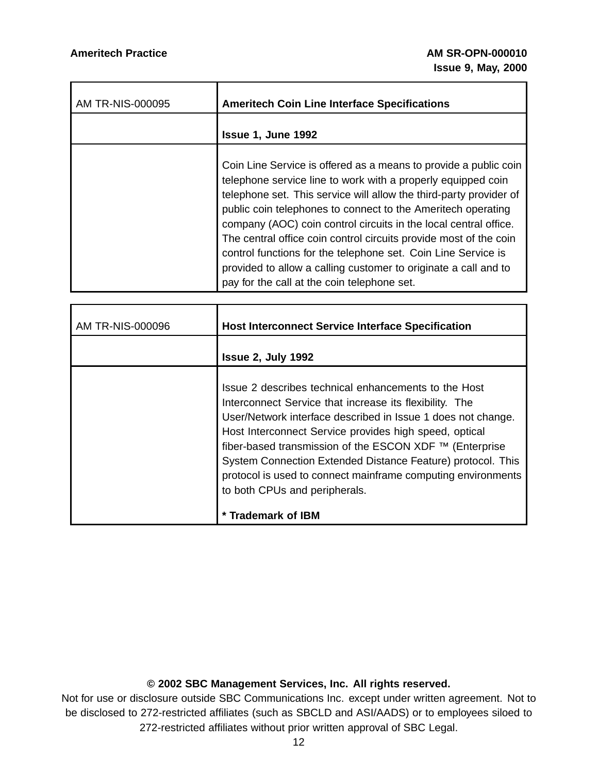| AM TR-NIS-000095 | <b>Ameritech Coin Line Interface Specifications</b>                                                                                                                                                                                                                                                                                                                                                                                                                                                                                                                                                |
|------------------|----------------------------------------------------------------------------------------------------------------------------------------------------------------------------------------------------------------------------------------------------------------------------------------------------------------------------------------------------------------------------------------------------------------------------------------------------------------------------------------------------------------------------------------------------------------------------------------------------|
|                  | <b>Issue 1, June 1992</b>                                                                                                                                                                                                                                                                                                                                                                                                                                                                                                                                                                          |
|                  | Coin Line Service is offered as a means to provide a public coin<br>telephone service line to work with a properly equipped coin<br>telephone set. This service will allow the third-party provider of<br>public coin telephones to connect to the Ameritech operating<br>company (AOC) coin control circuits in the local central office.<br>The central office coin control circuits provide most of the coin<br>control functions for the telephone set. Coin Line Service is<br>provided to allow a calling customer to originate a call and to<br>pay for the call at the coin telephone set. |

| AM TR-NIS-000096 | <b>Host Interconnect Service Interface Specification</b>                                                                                                                                                                                                                                                                                                                                                                                                             |
|------------------|----------------------------------------------------------------------------------------------------------------------------------------------------------------------------------------------------------------------------------------------------------------------------------------------------------------------------------------------------------------------------------------------------------------------------------------------------------------------|
|                  | <b>Issue 2, July 1992</b>                                                                                                                                                                                                                                                                                                                                                                                                                                            |
|                  | Issue 2 describes technical enhancements to the Host<br>Interconnect Service that increase its flexibility. The<br>User/Network interface described in Issue 1 does not change.<br>Host Interconnect Service provides high speed, optical<br>fiber-based transmission of the ESCON XDF ™ (Enterprise<br>System Connection Extended Distance Feature) protocol. This<br>protocol is used to connect mainframe computing environments<br>to both CPUs and peripherals. |
|                  | * Trademark of IBM                                                                                                                                                                                                                                                                                                                                                                                                                                                   |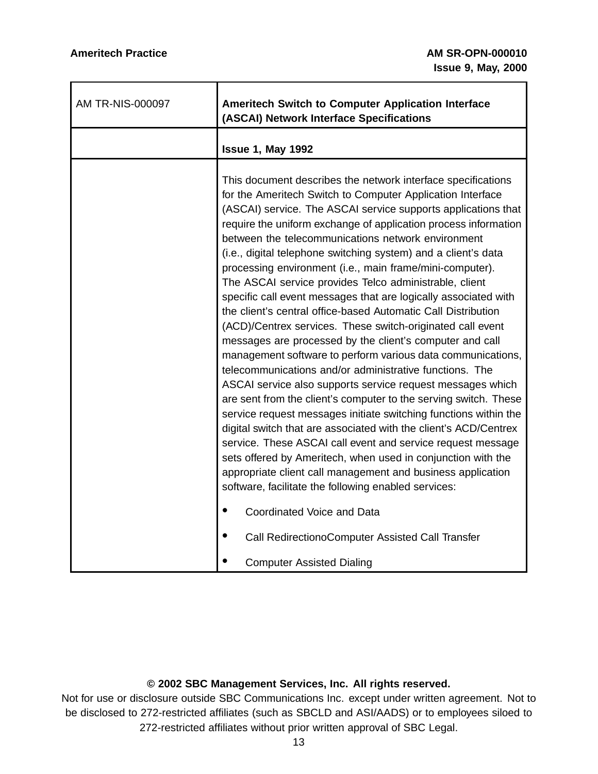T

Ē

 $\overline{\phantom{a}}$ 

| AM TR-NIS-000097 | <b>Ameritech Switch to Computer Application Interface</b><br>(ASCAI) Network Interface Specifications                                                                                                                                                                                                                                                                                                                                                                                                                                                                                                                                                                                                                                                                                                                                                                                                                                                                                                                                                                                                                                                                                                                                                                                                                                                                                                                                |
|------------------|--------------------------------------------------------------------------------------------------------------------------------------------------------------------------------------------------------------------------------------------------------------------------------------------------------------------------------------------------------------------------------------------------------------------------------------------------------------------------------------------------------------------------------------------------------------------------------------------------------------------------------------------------------------------------------------------------------------------------------------------------------------------------------------------------------------------------------------------------------------------------------------------------------------------------------------------------------------------------------------------------------------------------------------------------------------------------------------------------------------------------------------------------------------------------------------------------------------------------------------------------------------------------------------------------------------------------------------------------------------------------------------------------------------------------------------|
|                  | <b>Issue 1, May 1992</b>                                                                                                                                                                                                                                                                                                                                                                                                                                                                                                                                                                                                                                                                                                                                                                                                                                                                                                                                                                                                                                                                                                                                                                                                                                                                                                                                                                                                             |
|                  | This document describes the network interface specifications<br>for the Ameritech Switch to Computer Application Interface<br>(ASCAI) service. The ASCAI service supports applications that<br>require the uniform exchange of application process information<br>between the telecommunications network environment<br>(i.e., digital telephone switching system) and a client's data<br>processing environment (i.e., main frame/mini-computer).<br>The ASCAI service provides Telco administrable, client<br>specific call event messages that are logically associated with<br>the client's central office-based Automatic Call Distribution<br>(ACD)/Centrex services. These switch-originated call event<br>messages are processed by the client's computer and call<br>management software to perform various data communications,<br>telecommunications and/or administrative functions. The<br>ASCAI service also supports service request messages which<br>are sent from the client's computer to the serving switch. These<br>service request messages initiate switching functions within the<br>digital switch that are associated with the client's ACD/Centrex<br>service. These ASCAI call event and service request message<br>sets offered by Ameritech, when used in conjunction with the<br>appropriate client call management and business application<br>software, facilitate the following enabled services: |
|                  | Coordinated Voice and Data                                                                                                                                                                                                                                                                                                                                                                                                                                                                                                                                                                                                                                                                                                                                                                                                                                                                                                                                                                                                                                                                                                                                                                                                                                                                                                                                                                                                           |
|                  | Call RedirectionoComputer Assisted Call Transfer                                                                                                                                                                                                                                                                                                                                                                                                                                                                                                                                                                                                                                                                                                                                                                                                                                                                                                                                                                                                                                                                                                                                                                                                                                                                                                                                                                                     |
|                  | <b>Computer Assisted Dialing</b>                                                                                                                                                                                                                                                                                                                                                                                                                                                                                                                                                                                                                                                                                                                                                                                                                                                                                                                                                                                                                                                                                                                                                                                                                                                                                                                                                                                                     |

#### **© 2002 SBC Management Services, Inc. All rights reserved.**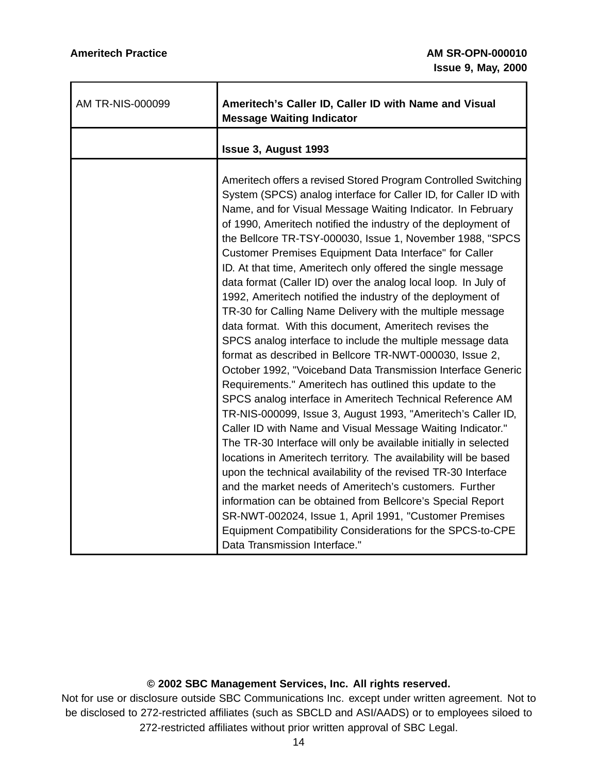Г

 $\overline{\mathsf{T}}$ 

 $\overline{\mathbf{1}}$ 

| AM TR-NIS-000099 | Ameritech's Caller ID, Caller ID with Name and Visual<br><b>Message Waiting Indicator</b>                                                                                                                                                                                                                                                                                                                                                                                                                                                                                                                                                                                                                                                                                                                                                                                                                                                                                                                                                                                                                                                                                                                                                                                                                                                                                                                                                                                                                                                                                                                                                                  |
|------------------|------------------------------------------------------------------------------------------------------------------------------------------------------------------------------------------------------------------------------------------------------------------------------------------------------------------------------------------------------------------------------------------------------------------------------------------------------------------------------------------------------------------------------------------------------------------------------------------------------------------------------------------------------------------------------------------------------------------------------------------------------------------------------------------------------------------------------------------------------------------------------------------------------------------------------------------------------------------------------------------------------------------------------------------------------------------------------------------------------------------------------------------------------------------------------------------------------------------------------------------------------------------------------------------------------------------------------------------------------------------------------------------------------------------------------------------------------------------------------------------------------------------------------------------------------------------------------------------------------------------------------------------------------------|
|                  | <b>Issue 3, August 1993</b>                                                                                                                                                                                                                                                                                                                                                                                                                                                                                                                                                                                                                                                                                                                                                                                                                                                                                                                                                                                                                                                                                                                                                                                                                                                                                                                                                                                                                                                                                                                                                                                                                                |
|                  | Ameritech offers a revised Stored Program Controlled Switching<br>System (SPCS) analog interface for Caller ID, for Caller ID with<br>Name, and for Visual Message Waiting Indicator. In February<br>of 1990, Ameritech notified the industry of the deployment of<br>the Bellcore TR-TSY-000030, Issue 1, November 1988, "SPCS<br>Customer Premises Equipment Data Interface" for Caller<br>ID. At that time, Ameritech only offered the single message<br>data format (Caller ID) over the analog local loop. In July of<br>1992, Ameritech notified the industry of the deployment of<br>TR-30 for Calling Name Delivery with the multiple message<br>data format. With this document, Ameritech revises the<br>SPCS analog interface to include the multiple message data<br>format as described in Bellcore TR-NWT-000030, Issue 2,<br>October 1992, "Voiceband Data Transmission Interface Generic<br>Requirements." Ameritech has outlined this update to the<br>SPCS analog interface in Ameritech Technical Reference AM<br>TR-NIS-000099, Issue 3, August 1993, "Ameritech's Caller ID,<br>Caller ID with Name and Visual Message Waiting Indicator."<br>The TR-30 Interface will only be available initially in selected<br>locations in Ameritech territory. The availability will be based<br>upon the technical availability of the revised TR-30 Interface<br>and the market needs of Ameritech's customers. Further<br>information can be obtained from Bellcore's Special Report<br>SR-NWT-002024, Issue 1, April 1991, "Customer Premises<br>Equipment Compatibility Considerations for the SPCS-to-CPE<br>Data Transmission Interface." |

# **© 2002 SBC Management Services, Inc. All rights reserved.**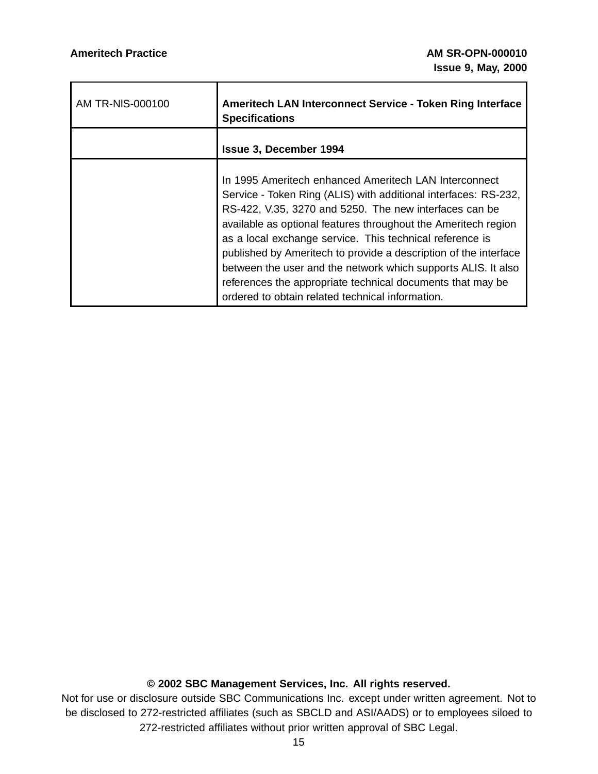Г

 $\overline{\mathbf{1}}$ 

| AM TR-NIS-000100 | Ameritech LAN Interconnect Service - Token Ring Interface<br><b>Specifications</b>                                                                                                                                                                                                                                                                                                                                                                                                                                                                                      |
|------------------|-------------------------------------------------------------------------------------------------------------------------------------------------------------------------------------------------------------------------------------------------------------------------------------------------------------------------------------------------------------------------------------------------------------------------------------------------------------------------------------------------------------------------------------------------------------------------|
|                  | <b>Issue 3, December 1994</b>                                                                                                                                                                                                                                                                                                                                                                                                                                                                                                                                           |
|                  | In 1995 Ameritech enhanced Ameritech LAN Interconnect<br>Service - Token Ring (ALIS) with additional interfaces: RS-232,<br>RS-422, V.35, 3270 and 5250. The new interfaces can be<br>available as optional features throughout the Ameritech region<br>as a local exchange service. This technical reference is<br>published by Ameritech to provide a description of the interface<br>between the user and the network which supports ALIS. It also<br>references the appropriate technical documents that may be<br>ordered to obtain related technical information. |

 $\overline{\mathsf{T}}$ 

# **© 2002 SBC Management Services, Inc. All rights reserved.**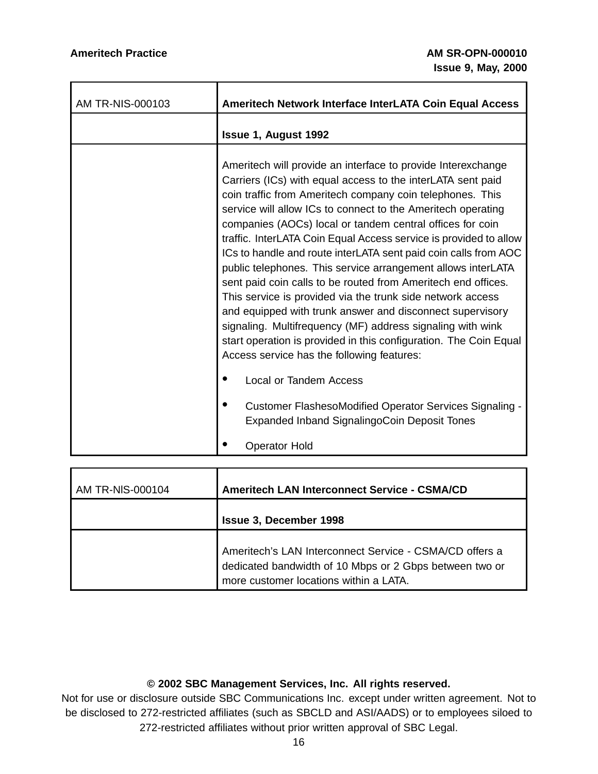| AM TR-NIS-000103 | Ameritech Network Interface InterLATA Coin Equal Access                                                                                                                                                                                                                                                                                                                                                                                                                                                                                                                                                                                                                                                                                                                                                                                                                                                    |
|------------------|------------------------------------------------------------------------------------------------------------------------------------------------------------------------------------------------------------------------------------------------------------------------------------------------------------------------------------------------------------------------------------------------------------------------------------------------------------------------------------------------------------------------------------------------------------------------------------------------------------------------------------------------------------------------------------------------------------------------------------------------------------------------------------------------------------------------------------------------------------------------------------------------------------|
|                  | <b>Issue 1, August 1992</b>                                                                                                                                                                                                                                                                                                                                                                                                                                                                                                                                                                                                                                                                                                                                                                                                                                                                                |
|                  | Ameritech will provide an interface to provide Interexchange<br>Carriers (ICs) with equal access to the interLATA sent paid<br>coin traffic from Ameritech company coin telephones. This<br>service will allow ICs to connect to the Ameritech operating<br>companies (AOCs) local or tandem central offices for coin<br>traffic. InterLATA Coin Equal Access service is provided to allow<br>ICs to handle and route interLATA sent paid coin calls from AOC<br>public telephones. This service arrangement allows interLATA<br>sent paid coin calls to be routed from Ameritech end offices.<br>This service is provided via the trunk side network access<br>and equipped with trunk answer and disconnect supervisory<br>signaling. Multifrequency (MF) address signaling with wink<br>start operation is provided in this configuration. The Coin Equal<br>Access service has the following features: |
|                  | <b>Local or Tandem Access</b>                                                                                                                                                                                                                                                                                                                                                                                                                                                                                                                                                                                                                                                                                                                                                                                                                                                                              |
|                  | <b>Customer FlashesoModified Operator Services Signaling -</b><br>Expanded Inband SignalingoCoin Deposit Tones                                                                                                                                                                                                                                                                                                                                                                                                                                                                                                                                                                                                                                                                                                                                                                                             |
|                  | <b>Operator Hold</b>                                                                                                                                                                                                                                                                                                                                                                                                                                                                                                                                                                                                                                                                                                                                                                                                                                                                                       |

| <b>AM TR-NIS-000104</b> | <b>Ameritech LAN Interconnect Service - CSMA/CD</b>                                                                                                          |
|-------------------------|--------------------------------------------------------------------------------------------------------------------------------------------------------------|
|                         | <b>Issue 3, December 1998</b>                                                                                                                                |
|                         | Ameritech's LAN Interconnect Service - CSMA/CD offers a<br>dedicated bandwidth of 10 Mbps or 2 Gbps between two or<br>more customer locations within a LATA. |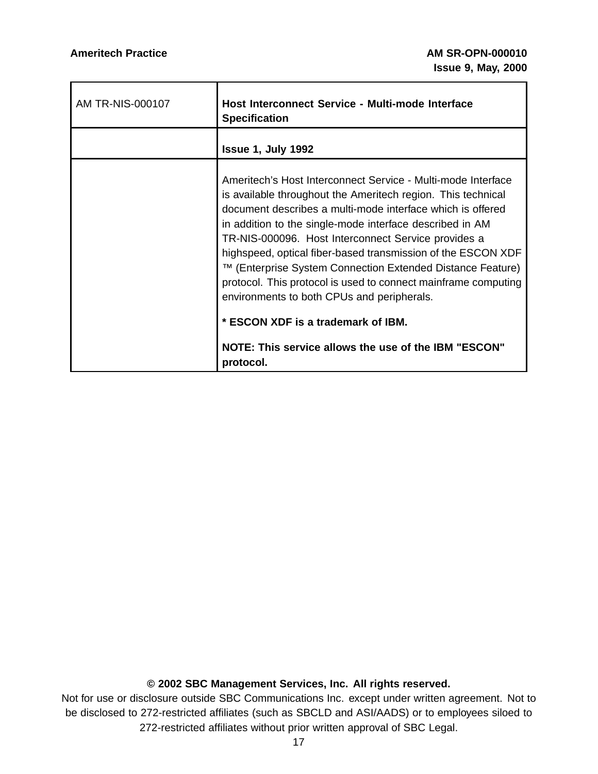т

Ē

 $\overline{\phantom{a}}$ 

| <b>AM TR-NIS-000107</b> | Host Interconnect Service - Multi-mode Interface<br><b>Specification</b>                                                                                                                                                                                                                                                                                                                                                                                                                                                                                    |
|-------------------------|-------------------------------------------------------------------------------------------------------------------------------------------------------------------------------------------------------------------------------------------------------------------------------------------------------------------------------------------------------------------------------------------------------------------------------------------------------------------------------------------------------------------------------------------------------------|
|                         | <b>Issue 1, July 1992</b>                                                                                                                                                                                                                                                                                                                                                                                                                                                                                                                                   |
|                         | Ameritech's Host Interconnect Service - Multi-mode Interface<br>is available throughout the Ameritech region. This technical<br>document describes a multi-mode interface which is offered<br>in addition to the single-mode interface described in AM<br>TR-NIS-000096. Host Interconnect Service provides a<br>highspeed, optical fiber-based transmission of the ESCON XDF<br>™ (Enterprise System Connection Extended Distance Feature)<br>protocol. This protocol is used to connect mainframe computing<br>environments to both CPUs and peripherals. |
|                         | * ESCON XDF is a trademark of IBM.                                                                                                                                                                                                                                                                                                                                                                                                                                                                                                                          |
|                         | NOTE: This service allows the use of the IBM "ESCON"<br>protocol.                                                                                                                                                                                                                                                                                                                                                                                                                                                                                           |

# **© 2002 SBC Management Services, Inc. All rights reserved.**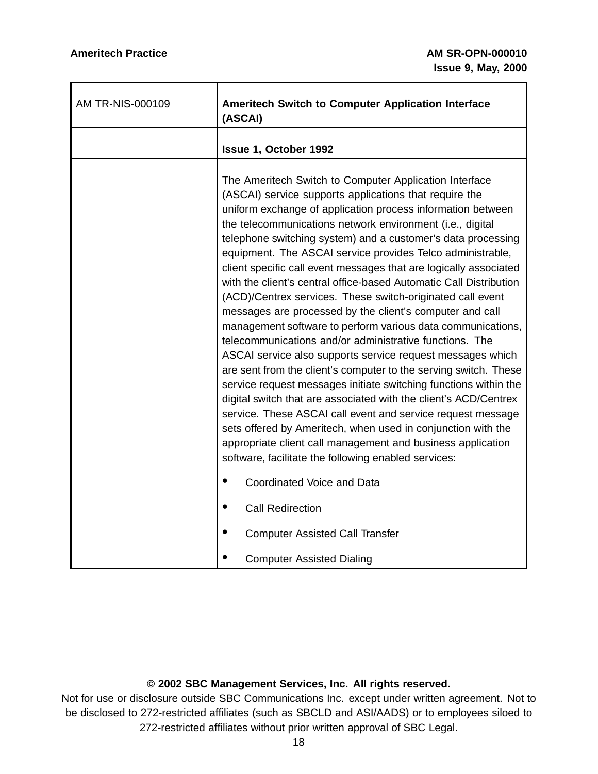$\overline{\mathbf{r}}$ 

 $\overline{\mathbf{1}}$ 

| AM TR-NIS-000109 | <b>Ameritech Switch to Computer Application Interface</b><br>(ASCAI)                                                                                                                                                                                                                                                                                                                                                                                                                                                                                                                                                                                                                                                                                                                                                                                                                                                                                                                                                                                                                                                                                                                                                                                                                                      |
|------------------|-----------------------------------------------------------------------------------------------------------------------------------------------------------------------------------------------------------------------------------------------------------------------------------------------------------------------------------------------------------------------------------------------------------------------------------------------------------------------------------------------------------------------------------------------------------------------------------------------------------------------------------------------------------------------------------------------------------------------------------------------------------------------------------------------------------------------------------------------------------------------------------------------------------------------------------------------------------------------------------------------------------------------------------------------------------------------------------------------------------------------------------------------------------------------------------------------------------------------------------------------------------------------------------------------------------|
|                  | Issue 1, October 1992                                                                                                                                                                                                                                                                                                                                                                                                                                                                                                                                                                                                                                                                                                                                                                                                                                                                                                                                                                                                                                                                                                                                                                                                                                                                                     |
|                  | The Ameritech Switch to Computer Application Interface<br>(ASCAI) service supports applications that require the<br>uniform exchange of application process information between<br>the telecommunications network environment (i.e., digital<br>telephone switching system) and a customer's data processing<br>equipment. The ASCAI service provides Telco administrable,<br>client specific call event messages that are logically associated<br>with the client's central office-based Automatic Call Distribution<br>(ACD)/Centrex services. These switch-originated call event<br>messages are processed by the client's computer and call<br>management software to perform various data communications,<br>telecommunications and/or administrative functions. The<br>ASCAI service also supports service request messages which<br>are sent from the client's computer to the serving switch. These<br>service request messages initiate switching functions within the<br>digital switch that are associated with the client's ACD/Centrex<br>service. These ASCAI call event and service request message<br>sets offered by Ameritech, when used in conjunction with the<br>appropriate client call management and business application<br>software, facilitate the following enabled services: |
|                  | Coordinated Voice and Data                                                                                                                                                                                                                                                                                                                                                                                                                                                                                                                                                                                                                                                                                                                                                                                                                                                                                                                                                                                                                                                                                                                                                                                                                                                                                |
|                  | <b>Call Redirection</b>                                                                                                                                                                                                                                                                                                                                                                                                                                                                                                                                                                                                                                                                                                                                                                                                                                                                                                                                                                                                                                                                                                                                                                                                                                                                                   |
|                  | <b>Computer Assisted Call Transfer</b>                                                                                                                                                                                                                                                                                                                                                                                                                                                                                                                                                                                                                                                                                                                                                                                                                                                                                                                                                                                                                                                                                                                                                                                                                                                                    |
|                  | <b>Computer Assisted Dialing</b>                                                                                                                                                                                                                                                                                                                                                                                                                                                                                                                                                                                                                                                                                                                                                                                                                                                                                                                                                                                                                                                                                                                                                                                                                                                                          |

#### **© 2002 SBC Management Services, Inc. All rights reserved.**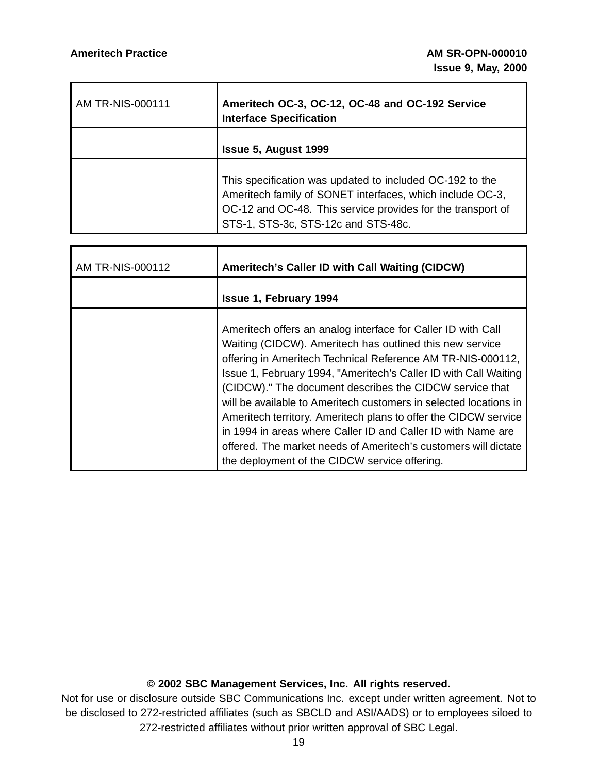| AM TR-NIS-000111 | Ameritech OC-3, OC-12, OC-48 and OC-192 Service<br><b>Interface Specification</b>                                                                                                                                           |
|------------------|-----------------------------------------------------------------------------------------------------------------------------------------------------------------------------------------------------------------------------|
|                  | <b>Issue 5, August 1999</b>                                                                                                                                                                                                 |
|                  | This specification was updated to included OC-192 to the<br>Ameritech family of SONET interfaces, which include OC-3,<br>OC-12 and OC-48. This service provides for the transport of<br>STS-1, STS-3c, STS-12c and STS-48c. |

| AM TR-NIS-000112 | Ameritech's Caller ID with Call Waiting (CIDCW)                                                                                                                                                                                                                                                                                                                                                                                                                                                                                                                                                                                                    |
|------------------|----------------------------------------------------------------------------------------------------------------------------------------------------------------------------------------------------------------------------------------------------------------------------------------------------------------------------------------------------------------------------------------------------------------------------------------------------------------------------------------------------------------------------------------------------------------------------------------------------------------------------------------------------|
|                  | <b>Issue 1, February 1994</b>                                                                                                                                                                                                                                                                                                                                                                                                                                                                                                                                                                                                                      |
|                  | Ameritech offers an analog interface for Caller ID with Call<br>Waiting (CIDCW). Ameritech has outlined this new service<br>offering in Ameritech Technical Reference AM TR-NIS-000112,<br>Issue 1, February 1994, "Ameritech's Caller ID with Call Waiting<br>(CIDCW)." The document describes the CIDCW service that<br>will be available to Ameritech customers in selected locations in<br>Ameritech territory. Ameritech plans to offer the CIDCW service<br>in 1994 in areas where Caller ID and Caller ID with Name are<br>offered. The market needs of Ameritech's customers will dictate<br>the deployment of the CIDCW service offering. |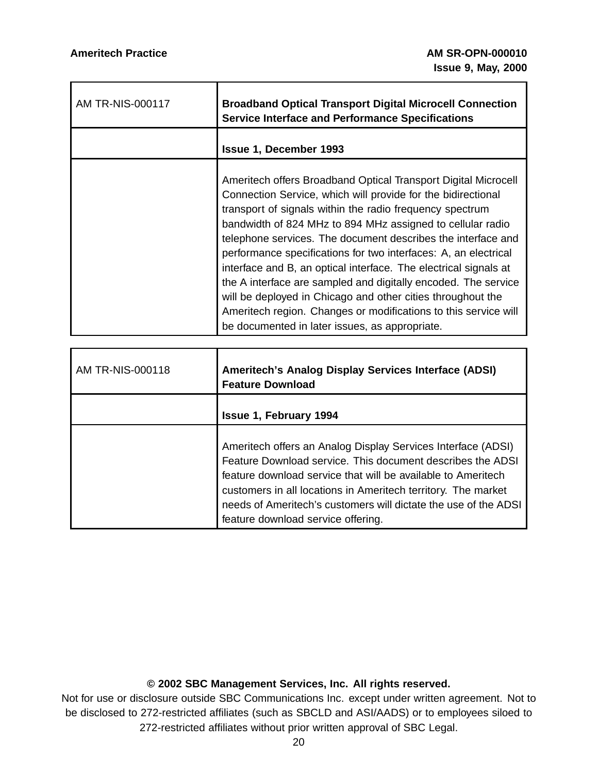Ē

 $\overline{\phantom{a}}$ 

| <b>AM TR-NIS-000117</b> | <b>Broadband Optical Transport Digital Microcell Connection</b><br><b>Service Interface and Performance Specifications</b>                                                                                                                                                                                                                                                                                                                                                                                                                                                                                                                                                                                            |
|-------------------------|-----------------------------------------------------------------------------------------------------------------------------------------------------------------------------------------------------------------------------------------------------------------------------------------------------------------------------------------------------------------------------------------------------------------------------------------------------------------------------------------------------------------------------------------------------------------------------------------------------------------------------------------------------------------------------------------------------------------------|
|                         | <b>Issue 1, December 1993</b>                                                                                                                                                                                                                                                                                                                                                                                                                                                                                                                                                                                                                                                                                         |
|                         | Ameritech offers Broadband Optical Transport Digital Microcell<br>Connection Service, which will provide for the bidirectional<br>transport of signals within the radio frequency spectrum<br>bandwidth of 824 MHz to 894 MHz assigned to cellular radio<br>telephone services. The document describes the interface and<br>performance specifications for two interfaces: A, an electrical<br>interface and B, an optical interface. The electrical signals at<br>the A interface are sampled and digitally encoded. The service<br>will be deployed in Chicago and other cities throughout the<br>Ameritech region. Changes or modifications to this service will<br>be documented in later issues, as appropriate. |
|                         |                                                                                                                                                                                                                                                                                                                                                                                                                                                                                                                                                                                                                                                                                                                       |

| AM TR-NIS-000118 | Ameritech's Analog Display Services Interface (ADSI)<br><b>Feature Download</b>                                                                                                                                                                                                                                                                                      |
|------------------|----------------------------------------------------------------------------------------------------------------------------------------------------------------------------------------------------------------------------------------------------------------------------------------------------------------------------------------------------------------------|
|                  | <b>Issue 1, February 1994</b>                                                                                                                                                                                                                                                                                                                                        |
|                  | Ameritech offers an Analog Display Services Interface (ADSI)<br>Feature Download service. This document describes the ADSI<br>feature download service that will be available to Ameritech<br>customers in all locations in Ameritech territory. The market<br>needs of Ameritech's customers will dictate the use of the ADSI<br>feature download service offering. |

#### **© 2002 SBC Management Services, Inc. All rights reserved.**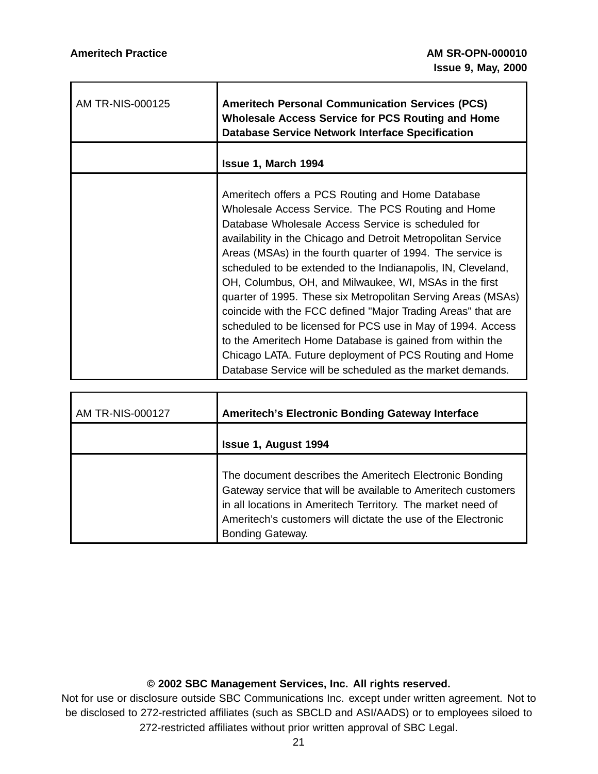T

 $\overline{\mathbf{1}}$ 

| <b>AM TR-NIS-000125</b> | <b>Ameritech Personal Communication Services (PCS)</b><br><b>Wholesale Access Service for PCS Routing and Home</b><br><b>Database Service Network Interface Specification</b>                                                                                                                                                                                                                                                                                                                                                                                                                                                                                                                                                                                                                           |
|-------------------------|---------------------------------------------------------------------------------------------------------------------------------------------------------------------------------------------------------------------------------------------------------------------------------------------------------------------------------------------------------------------------------------------------------------------------------------------------------------------------------------------------------------------------------------------------------------------------------------------------------------------------------------------------------------------------------------------------------------------------------------------------------------------------------------------------------|
|                         | Issue 1, March 1994                                                                                                                                                                                                                                                                                                                                                                                                                                                                                                                                                                                                                                                                                                                                                                                     |
|                         | Ameritech offers a PCS Routing and Home Database<br>Wholesale Access Service. The PCS Routing and Home<br>Database Wholesale Access Service is scheduled for<br>availability in the Chicago and Detroit Metropolitan Service<br>Areas (MSAs) in the fourth quarter of 1994. The service is<br>scheduled to be extended to the Indianapolis, IN, Cleveland,<br>OH, Columbus, OH, and Milwaukee, WI, MSAs in the first<br>quarter of 1995. These six Metropolitan Serving Areas (MSAs)<br>coincide with the FCC defined "Major Trading Areas" that are<br>scheduled to be licensed for PCS use in May of 1994. Access<br>to the Ameritech Home Database is gained from within the<br>Chicago LATA. Future deployment of PCS Routing and Home<br>Database Service will be scheduled as the market demands. |

| AM TR-NIS-000127 | <b>Ameritech's Electronic Bonding Gateway Interface</b>                                                                                                                                                                                                                     |
|------------------|-----------------------------------------------------------------------------------------------------------------------------------------------------------------------------------------------------------------------------------------------------------------------------|
|                  | <b>Issue 1, August 1994</b>                                                                                                                                                                                                                                                 |
|                  | The document describes the Ameritech Electronic Bonding<br>Gateway service that will be available to Ameritech customers<br>in all locations in Ameritech Territory. The market need of<br>Ameritech's customers will dictate the use of the Electronic<br>Bonding Gateway. |

## **© 2002 SBC Management Services, Inc. All rights reserved.**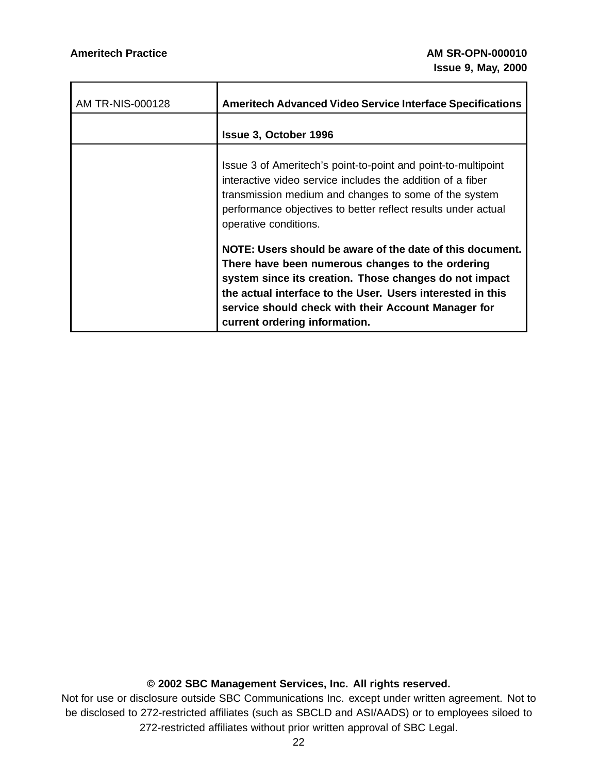$\overline{\mathbf{r}}$ 

| <b>AM TR-NIS-000128</b> | <b>Ameritech Advanced Video Service Interface Specifications</b>                                                                                                                                                                                                                                                              |
|-------------------------|-------------------------------------------------------------------------------------------------------------------------------------------------------------------------------------------------------------------------------------------------------------------------------------------------------------------------------|
|                         | <b>Issue 3, October 1996</b>                                                                                                                                                                                                                                                                                                  |
|                         | Issue 3 of Ameritech's point-to-point and point-to-multipoint<br>interactive video service includes the addition of a fiber<br>transmission medium and changes to some of the system<br>performance objectives to better reflect results under actual<br>operative conditions.                                                |
|                         | NOTE: Users should be aware of the date of this document.<br>There have been numerous changes to the ordering<br>system since its creation. Those changes do not impact<br>the actual interface to the User. Users interested in this<br>service should check with their Account Manager for<br>current ordering information. |

# **© 2002 SBC Management Services, Inc. All rights reserved.**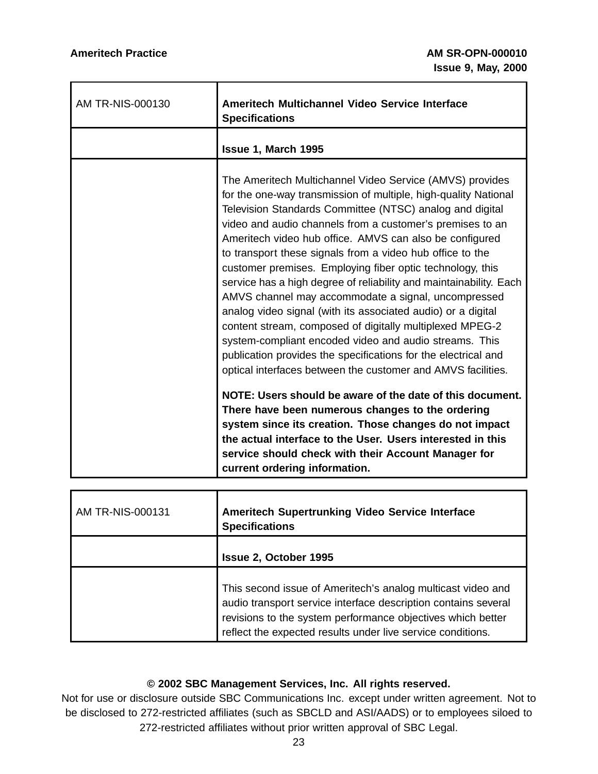т

Ē

 $\overline{\phantom{a}}$ 

| AM TR-NIS-000130 | Ameritech Multichannel Video Service Interface<br><b>Specifications</b>                                                                                                                                                                                                                                                                                                                                                                                                                                                                                                                                                                                                                                                                                                                                                                                                                        |
|------------------|------------------------------------------------------------------------------------------------------------------------------------------------------------------------------------------------------------------------------------------------------------------------------------------------------------------------------------------------------------------------------------------------------------------------------------------------------------------------------------------------------------------------------------------------------------------------------------------------------------------------------------------------------------------------------------------------------------------------------------------------------------------------------------------------------------------------------------------------------------------------------------------------|
|                  | Issue 1, March 1995                                                                                                                                                                                                                                                                                                                                                                                                                                                                                                                                                                                                                                                                                                                                                                                                                                                                            |
|                  | The Ameritech Multichannel Video Service (AMVS) provides<br>for the one-way transmission of multiple, high-quality National<br>Television Standards Committee (NTSC) analog and digital<br>video and audio channels from a customer's premises to an<br>Ameritech video hub office. AMVS can also be configured<br>to transport these signals from a video hub office to the<br>customer premises. Employing fiber optic technology, this<br>service has a high degree of reliability and maintainability. Each<br>AMVS channel may accommodate a signal, uncompressed<br>analog video signal (with its associated audio) or a digital<br>content stream, composed of digitally multiplexed MPEG-2<br>system-compliant encoded video and audio streams. This<br>publication provides the specifications for the electrical and<br>optical interfaces between the customer and AMVS facilities. |
|                  | NOTE: Users should be aware of the date of this document.<br>There have been numerous changes to the ordering<br>system since its creation. Those changes do not impact                                                                                                                                                                                                                                                                                                                                                                                                                                                                                                                                                                                                                                                                                                                        |
|                  | the actual interface to the User. Users interested in this<br>service should check with their Account Manager for<br>current ordering information.                                                                                                                                                                                                                                                                                                                                                                                                                                                                                                                                                                                                                                                                                                                                             |

| AM TR-NIS-000131 | <b>Ameritech Supertrunking Video Service Interface</b><br><b>Specifications</b>                                                                                                                                                                             |
|------------------|-------------------------------------------------------------------------------------------------------------------------------------------------------------------------------------------------------------------------------------------------------------|
|                  | <b>Issue 2, October 1995</b>                                                                                                                                                                                                                                |
|                  | This second issue of Ameritech's analog multicast video and<br>audio transport service interface description contains several<br>revisions to the system performance objectives which better<br>reflect the expected results under live service conditions. |

#### **© 2002 SBC Management Services, Inc. All rights reserved.**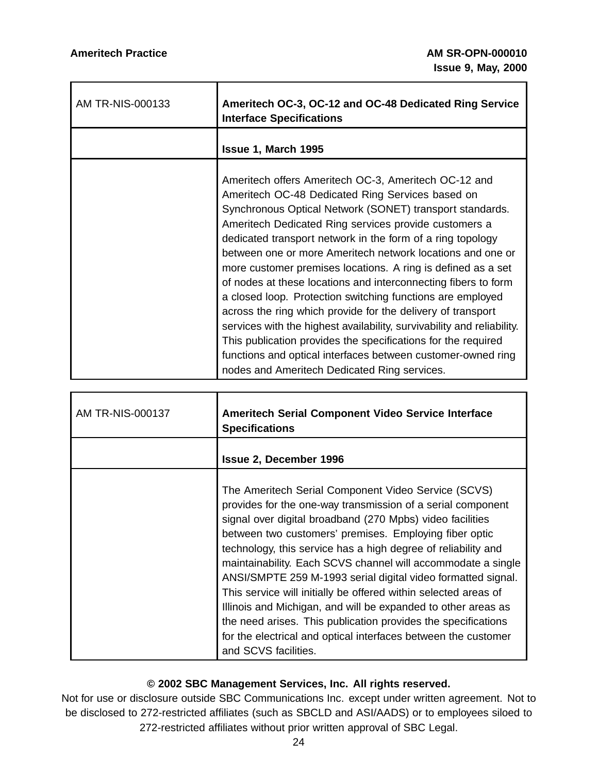Т

г

 $\overline{\mathbf{1}}$ 

| <b>AM TR-NIS-000133</b> | Ameritech OC-3, OC-12 and OC-48 Dedicated Ring Service<br><b>Interface Specifications</b>                                                                                                                                                                                                                                                                                                                                                                                                                                                                                                                                                                                                                                                                                                                                                                                           |
|-------------------------|-------------------------------------------------------------------------------------------------------------------------------------------------------------------------------------------------------------------------------------------------------------------------------------------------------------------------------------------------------------------------------------------------------------------------------------------------------------------------------------------------------------------------------------------------------------------------------------------------------------------------------------------------------------------------------------------------------------------------------------------------------------------------------------------------------------------------------------------------------------------------------------|
|                         | Issue 1, March 1995                                                                                                                                                                                                                                                                                                                                                                                                                                                                                                                                                                                                                                                                                                                                                                                                                                                                 |
|                         | Ameritech offers Ameritech OC-3, Ameritech OC-12 and<br>Ameritech OC-48 Dedicated Ring Services based on<br>Synchronous Optical Network (SONET) transport standards.<br>Ameritech Dedicated Ring services provide customers a<br>dedicated transport network in the form of a ring topology<br>between one or more Ameritech network locations and one or<br>more customer premises locations. A ring is defined as a set<br>of nodes at these locations and interconnecting fibers to form<br>a closed loop. Protection switching functions are employed<br>across the ring which provide for the delivery of transport<br>services with the highest availability, survivability and reliability.<br>This publication provides the specifications for the required<br>functions and optical interfaces between customer-owned ring<br>nodes and Ameritech Dedicated Ring services. |

| <b>AM TR-NIS-000137</b> | Ameritech Serial Component Video Service Interface<br><b>Specifications</b>                                                                                                                                                                                                                                                                                                                                                                                                                                                                                                                                                                                                                                                               |
|-------------------------|-------------------------------------------------------------------------------------------------------------------------------------------------------------------------------------------------------------------------------------------------------------------------------------------------------------------------------------------------------------------------------------------------------------------------------------------------------------------------------------------------------------------------------------------------------------------------------------------------------------------------------------------------------------------------------------------------------------------------------------------|
|                         | <b>Issue 2, December 1996</b>                                                                                                                                                                                                                                                                                                                                                                                                                                                                                                                                                                                                                                                                                                             |
|                         | The Ameritech Serial Component Video Service (SCVS)<br>provides for the one-way transmission of a serial component<br>signal over digital broadband (270 Mpbs) video facilities<br>between two customers' premises. Employing fiber optic<br>technology, this service has a high degree of reliability and<br>maintainability. Each SCVS channel will accommodate a single<br>ANSI/SMPTE 259 M-1993 serial digital video formatted signal.<br>This service will initially be offered within selected areas of<br>Illinois and Michigan, and will be expanded to other areas as<br>the need arises. This publication provides the specifications<br>for the electrical and optical interfaces between the customer<br>and SCVS facilities. |

#### **© 2002 SBC Management Services, Inc. All rights reserved.**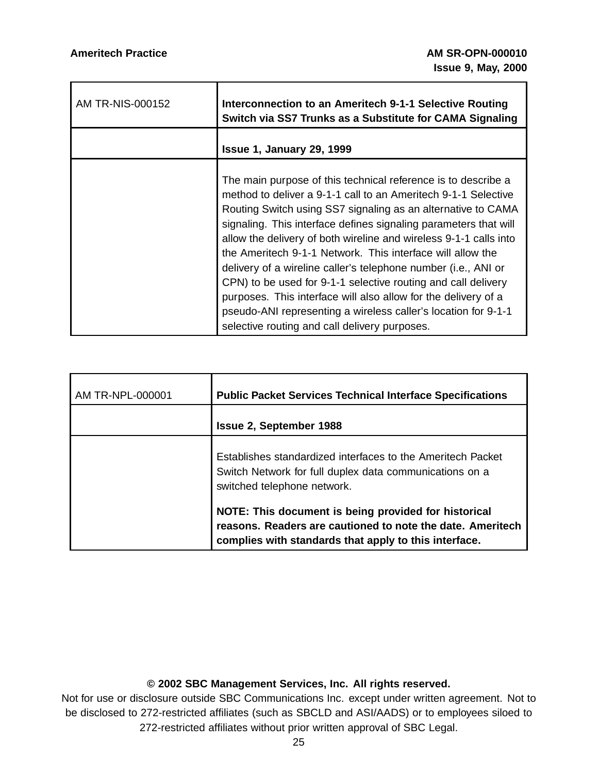т

г

| AM TR-NIS-000152 | Interconnection to an Ameritech 9-1-1 Selective Routing<br>Switch via SS7 Trunks as a Substitute for CAMA Signaling                                                                                                                                                                                                                                                                                                                                                                                                                                                                                                                                                                                                            |
|------------------|--------------------------------------------------------------------------------------------------------------------------------------------------------------------------------------------------------------------------------------------------------------------------------------------------------------------------------------------------------------------------------------------------------------------------------------------------------------------------------------------------------------------------------------------------------------------------------------------------------------------------------------------------------------------------------------------------------------------------------|
|                  | <b>Issue 1, January 29, 1999</b>                                                                                                                                                                                                                                                                                                                                                                                                                                                                                                                                                                                                                                                                                               |
|                  | The main purpose of this technical reference is to describe a<br>method to deliver a 9-1-1 call to an Ameritech 9-1-1 Selective<br>Routing Switch using SS7 signaling as an alternative to CAMA<br>signaling. This interface defines signaling parameters that will<br>allow the delivery of both wireline and wireless 9-1-1 calls into<br>the Ameritech 9-1-1 Network. This interface will allow the<br>delivery of a wireline caller's telephone number (i.e., ANI or<br>CPN) to be used for 9-1-1 selective routing and call delivery<br>purposes. This interface will also allow for the delivery of a<br>pseudo-ANI representing a wireless caller's location for 9-1-1<br>selective routing and call delivery purposes. |

| AM TR-NPL-000001 | <b>Public Packet Services Technical Interface Specifications</b>                                                                                                            |
|------------------|-----------------------------------------------------------------------------------------------------------------------------------------------------------------------------|
|                  | <b>Issue 2, September 1988</b>                                                                                                                                              |
|                  | Establishes standardized interfaces to the Ameritech Packet<br>Switch Network for full duplex data communications on a<br>switched telephone network.                       |
|                  | NOTE: This document is being provided for historical<br>reasons. Readers are cautioned to note the date. Ameritech<br>complies with standards that apply to this interface. |

# **© 2002 SBC Management Services, Inc. All rights reserved.**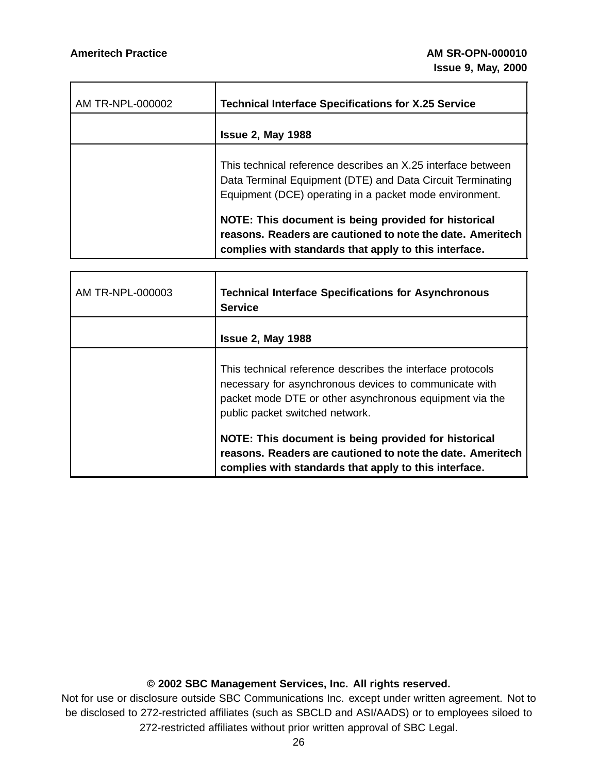| AM TR-NPL-000002 | <b>Technical Interface Specifications for X.25 Service</b>                                                                                                                            |
|------------------|---------------------------------------------------------------------------------------------------------------------------------------------------------------------------------------|
|                  | <b>Issue 2, May 1988</b>                                                                                                                                                              |
|                  | This technical reference describes an X.25 interface between<br>Data Terminal Equipment (DTE) and Data Circuit Terminating<br>Equipment (DCE) operating in a packet mode environment. |
|                  | NOTE: This document is being provided for historical<br>reasons. Readers are cautioned to note the date. Ameritech<br>complies with standards that apply to this interface.           |

| AM TR-NPL-000003 | <b>Technical Interface Specifications for Asynchronous</b><br><b>Service</b>                                                                                                                                       |
|------------------|--------------------------------------------------------------------------------------------------------------------------------------------------------------------------------------------------------------------|
|                  | <b>Issue 2, May 1988</b>                                                                                                                                                                                           |
|                  | This technical reference describes the interface protocols<br>necessary for asynchronous devices to communicate with<br>packet mode DTE or other asynchronous equipment via the<br>public packet switched network. |
|                  | NOTE: This document is being provided for historical<br>reasons. Readers are cautioned to note the date. Ameritech<br>complies with standards that apply to this interface.                                        |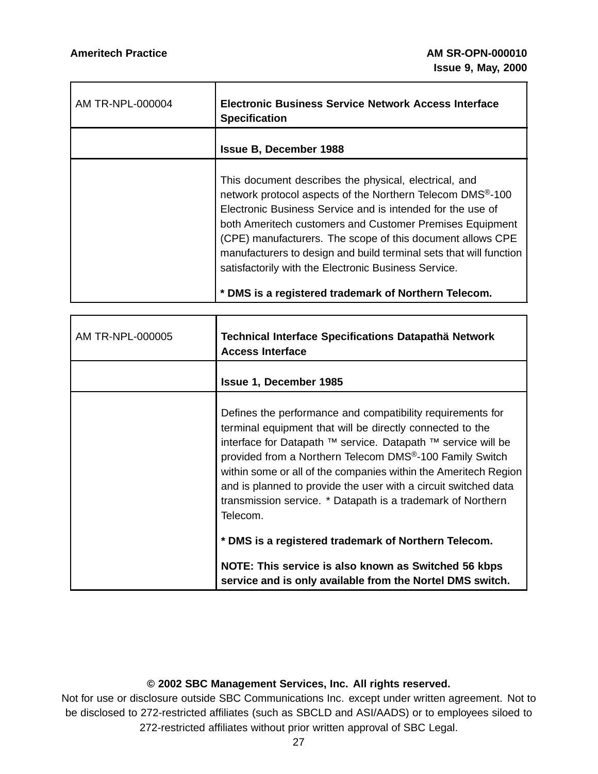٦Ī,

h

| AM TR-NPL-000004 | <b>Electronic Business Service Network Access Interface</b><br><b>Specification</b>                                                                                                                                                                                                                                                                                                                                                                   |
|------------------|-------------------------------------------------------------------------------------------------------------------------------------------------------------------------------------------------------------------------------------------------------------------------------------------------------------------------------------------------------------------------------------------------------------------------------------------------------|
|                  | <b>Issue B. December 1988</b>                                                                                                                                                                                                                                                                                                                                                                                                                         |
|                  | This document describes the physical, electrical, and<br>network protocol aspects of the Northern Telecom DMS <sup>®</sup> -100<br>Electronic Business Service and is intended for the use of<br>both Ameritech customers and Customer Premises Equipment<br>(CPE) manufacturers. The scope of this document allows CPE<br>manufacturers to design and build terminal sets that will function<br>satisfactorily with the Electronic Business Service. |
|                  | * DMS is a registered trademark of Northern Telecom.                                                                                                                                                                                                                                                                                                                                                                                                  |

| AM TR-NPL-000005 | <b>Technical Interface Specifications Datapathä Network</b><br><b>Access Interface</b>                                                                                                                                                                                                                                                                                                                                                                                           |
|------------------|----------------------------------------------------------------------------------------------------------------------------------------------------------------------------------------------------------------------------------------------------------------------------------------------------------------------------------------------------------------------------------------------------------------------------------------------------------------------------------|
|                  | <b>Issue 1, December 1985</b>                                                                                                                                                                                                                                                                                                                                                                                                                                                    |
|                  | Defines the performance and compatibility requirements for<br>terminal equipment that will be directly connected to the<br>interface for Datapath ™ service. Datapath ™ service will be<br>provided from a Northern Telecom DMS <sup>®</sup> -100 Family Switch<br>within some or all of the companies within the Ameritech Region<br>and is planned to provide the user with a circuit switched data<br>transmission service. * Datapath is a trademark of Northern<br>Telecom. |
|                  | * DMS is a registered trademark of Northern Telecom.                                                                                                                                                                                                                                                                                                                                                                                                                             |
|                  | NOTE: This service is also known as Switched 56 kbps<br>service and is only available from the Nortel DMS switch.                                                                                                                                                                                                                                                                                                                                                                |

#### **© 2002 SBC Management Services, Inc. All rights reserved.**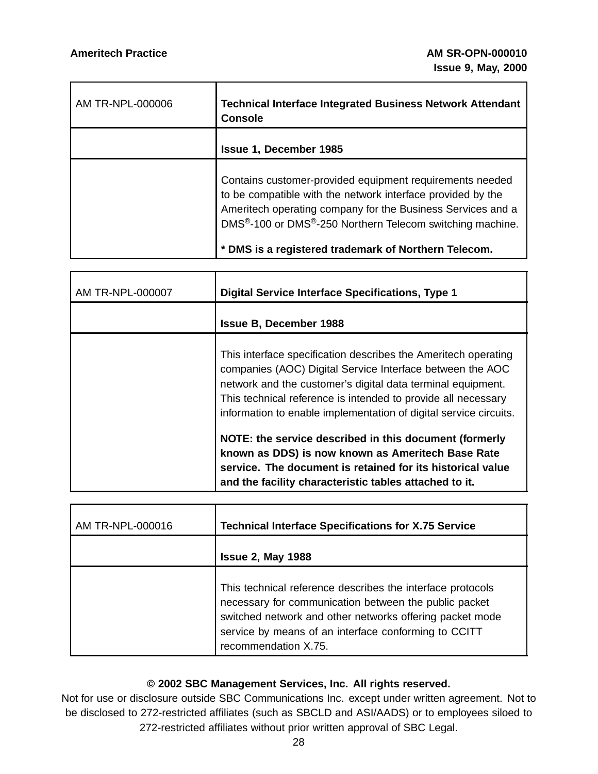| AM TR-NPL-000006 | <b>Technical Interface Integrated Business Network Attendant</b><br><b>Console</b>                                                                                                                                                                                                                                                   |
|------------------|--------------------------------------------------------------------------------------------------------------------------------------------------------------------------------------------------------------------------------------------------------------------------------------------------------------------------------------|
|                  | <b>Issue 1, December 1985</b>                                                                                                                                                                                                                                                                                                        |
|                  | Contains customer-provided equipment requirements needed<br>to be compatible with the network interface provided by the<br>Ameritech operating company for the Business Services and a<br>DMS <sup>®</sup> -100 or DMS <sup>®</sup> -250 Northern Telecom switching machine.<br>* DMS is a registered trademark of Northern Telecom. |

| AM TR-NPL-000007 | <b>Digital Service Interface Specifications, Type 1</b>                                                                                                                                                                                                                                                                          |
|------------------|----------------------------------------------------------------------------------------------------------------------------------------------------------------------------------------------------------------------------------------------------------------------------------------------------------------------------------|
|                  | <b>Issue B. December 1988</b>                                                                                                                                                                                                                                                                                                    |
|                  | This interface specification describes the Ameritech operating<br>companies (AOC) Digital Service Interface between the AOC<br>network and the customer's digital data terminal equipment.<br>This technical reference is intended to provide all necessary<br>information to enable implementation of digital service circuits. |
|                  | NOTE: the service described in this document (formerly<br>known as DDS) is now known as Ameritech Base Rate<br>service. The document is retained for its historical value<br>and the facility characteristic tables attached to it.                                                                                              |

| AM TR-NPL-000016 | <b>Technical Interface Specifications for X.75 Service</b>                                                                                                                                                                                                      |
|------------------|-----------------------------------------------------------------------------------------------------------------------------------------------------------------------------------------------------------------------------------------------------------------|
|                  | <b>Issue 2, May 1988</b>                                                                                                                                                                                                                                        |
|                  | This technical reference describes the interface protocols<br>necessary for communication between the public packet<br>switched network and other networks offering packet mode<br>service by means of an interface conforming to CCITT<br>recommendation X.75. |

#### **© 2002 SBC Management Services, Inc. All rights reserved.**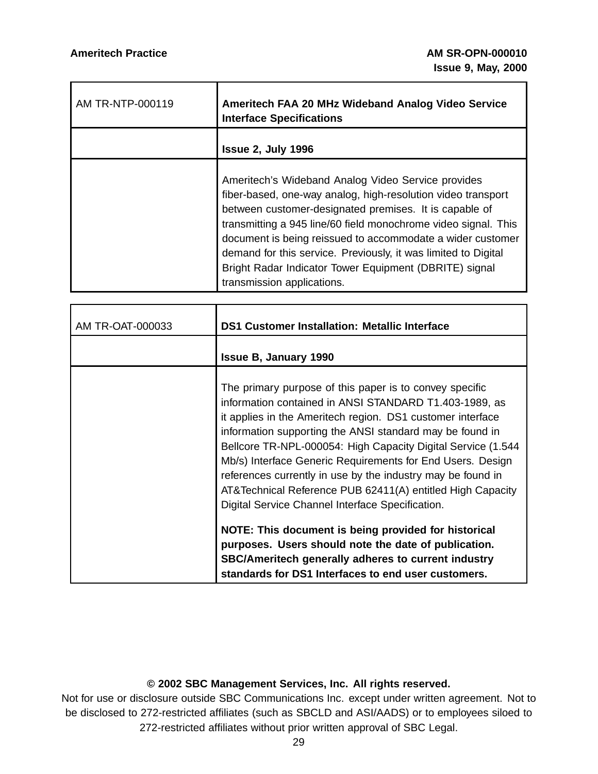$\overline{\phantom{0}}$ 

| AM TR-NTP-000119 | Ameritech FAA 20 MHz Wideband Analog Video Service<br><b>Interface Specifications</b>                                                                                                                                                                                                                                                                                                                                                                                  |
|------------------|------------------------------------------------------------------------------------------------------------------------------------------------------------------------------------------------------------------------------------------------------------------------------------------------------------------------------------------------------------------------------------------------------------------------------------------------------------------------|
|                  | <b>Issue 2, July 1996</b>                                                                                                                                                                                                                                                                                                                                                                                                                                              |
|                  | Ameritech's Wideband Analog Video Service provides<br>fiber-based, one-way analog, high-resolution video transport<br>between customer-designated premises. It is capable of<br>transmitting a 945 line/60 field monochrome video signal. This<br>document is being reissued to accommodate a wider customer<br>demand for this service. Previously, it was limited to Digital<br>Bright Radar Indicator Tower Equipment (DBRITE) signal<br>transmission applications. |

T

| AM TR-OAT-000033 | <b>DS1 Customer Installation: Metallic Interface</b>                                                                                                                                                                                                                                                                                                                                                                                                                                                                                                       |
|------------------|------------------------------------------------------------------------------------------------------------------------------------------------------------------------------------------------------------------------------------------------------------------------------------------------------------------------------------------------------------------------------------------------------------------------------------------------------------------------------------------------------------------------------------------------------------|
|                  | <b>Issue B, January 1990</b>                                                                                                                                                                                                                                                                                                                                                                                                                                                                                                                               |
|                  | The primary purpose of this paper is to convey specific<br>information contained in ANSI STANDARD T1.403-1989, as<br>it applies in the Ameritech region. DS1 customer interface<br>information supporting the ANSI standard may be found in<br>Bellcore TR-NPL-000054: High Capacity Digital Service (1.544<br>Mb/s) Interface Generic Requirements for End Users. Design<br>references currently in use by the industry may be found in<br>AT&Technical Reference PUB 62411(A) entitled High Capacity<br>Digital Service Channel Interface Specification. |
|                  | NOTE: This document is being provided for historical<br>purposes. Users should note the date of publication.<br>SBC/Ameritech generally adheres to current industry<br>standards for DS1 Interfaces to end user customers.                                                                                                                                                                                                                                                                                                                                 |

#### **© 2002 SBC Management Services, Inc. All rights reserved.**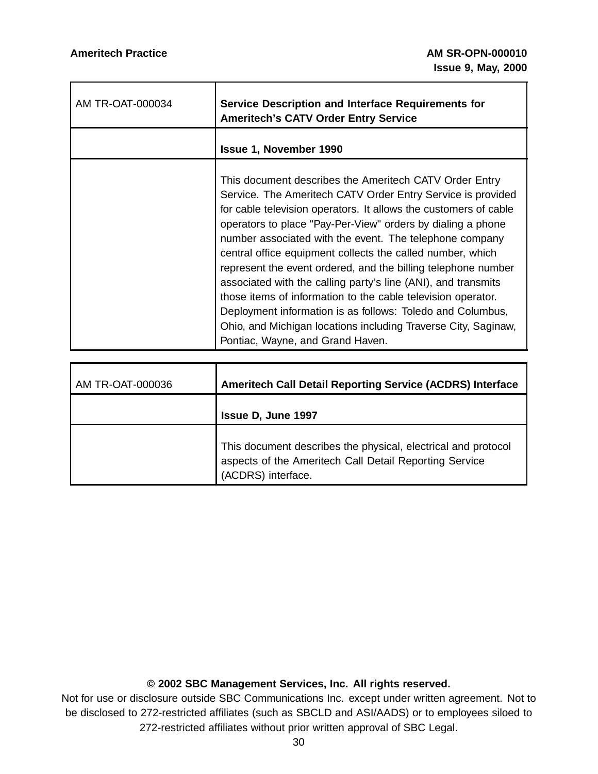Ħ.

| AM TR-OAT-000034 | Service Description and Interface Requirements for<br><b>Ameritech's CATV Order Entry Service</b>                                                                                                                                                                                                                                                                                                                                                                                                                                                                                                                                                                                                                                                       |
|------------------|---------------------------------------------------------------------------------------------------------------------------------------------------------------------------------------------------------------------------------------------------------------------------------------------------------------------------------------------------------------------------------------------------------------------------------------------------------------------------------------------------------------------------------------------------------------------------------------------------------------------------------------------------------------------------------------------------------------------------------------------------------|
|                  | <b>Issue 1, November 1990</b>                                                                                                                                                                                                                                                                                                                                                                                                                                                                                                                                                                                                                                                                                                                           |
|                  | This document describes the Ameritech CATV Order Entry<br>Service. The Ameritech CATV Order Entry Service is provided<br>for cable television operators. It allows the customers of cable<br>operators to place "Pay-Per-View" orders by dialing a phone<br>number associated with the event. The telephone company<br>central office equipment collects the called number, which<br>represent the event ordered, and the billing telephone number<br>associated with the calling party's line (ANI), and transmits<br>those items of information to the cable television operator.<br>Deployment information is as follows: Toledo and Columbus,<br>Ohio, and Michigan locations including Traverse City, Saginaw,<br>Pontiac, Wayne, and Grand Haven. |

| AM TR-OAT-000036 | <b>Ameritech Call Detail Reporting Service (ACDRS) Interface</b>                                                                              |
|------------------|-----------------------------------------------------------------------------------------------------------------------------------------------|
|                  | <b>Issue D, June 1997</b>                                                                                                                     |
|                  | This document describes the physical, electrical and protocol<br>aspects of the Ameritech Call Detail Reporting Service<br>(ACDRS) interface. |

## **© 2002 SBC Management Services, Inc. All rights reserved.**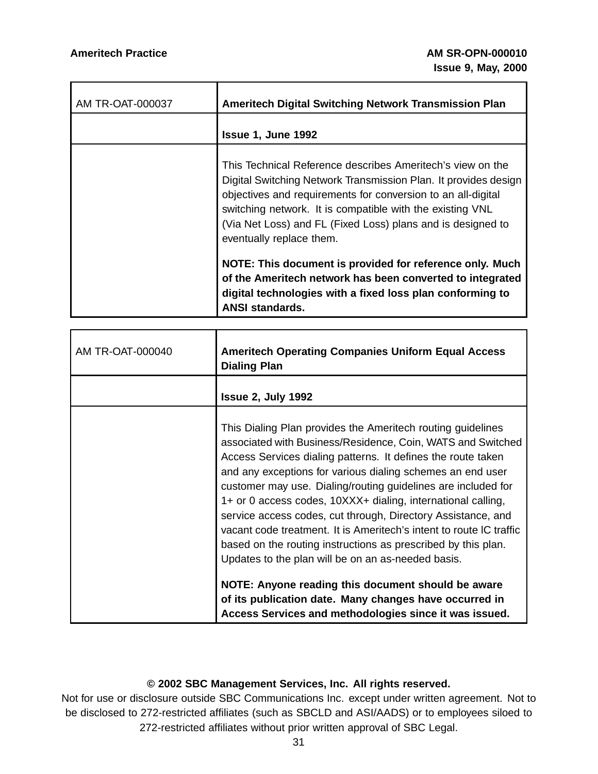| AM TR-OAT-000037 | Ameritech Digital Switching Network Transmission Plan                                                                                                                                                                                                                                                                                                 |
|------------------|-------------------------------------------------------------------------------------------------------------------------------------------------------------------------------------------------------------------------------------------------------------------------------------------------------------------------------------------------------|
|                  | <b>Issue 1, June 1992</b>                                                                                                                                                                                                                                                                                                                             |
|                  | This Technical Reference describes Ameritech's view on the<br>Digital Switching Network Transmission Plan. It provides design<br>objectives and requirements for conversion to an all-digital<br>switching network. It is compatible with the existing VNL<br>(Via Net Loss) and FL (Fixed Loss) plans and is designed to<br>eventually replace them. |
|                  | NOTE: This document is provided for reference only. Much<br>of the Ameritech network has been converted to integrated<br>digital technologies with a fixed loss plan conforming to<br><b>ANSI standards.</b>                                                                                                                                          |

| AM TR-OAT-000040 | <b>Ameritech Operating Companies Uniform Equal Access</b><br><b>Dialing Plan</b>                                                                                                                                                                                                                                                                                                                                                                                                                                                                                                                                                                        |
|------------------|---------------------------------------------------------------------------------------------------------------------------------------------------------------------------------------------------------------------------------------------------------------------------------------------------------------------------------------------------------------------------------------------------------------------------------------------------------------------------------------------------------------------------------------------------------------------------------------------------------------------------------------------------------|
|                  | <b>Issue 2, July 1992</b>                                                                                                                                                                                                                                                                                                                                                                                                                                                                                                                                                                                                                               |
|                  | This Dialing Plan provides the Ameritech routing guidelines<br>associated with Business/Residence, Coin, WATS and Switched<br>Access Services dialing patterns. It defines the route taken<br>and any exceptions for various dialing schemes an end user<br>customer may use. Dialing/routing guidelines are included for<br>1+ or 0 access codes, 10XXX+ dialing, international calling,<br>service access codes, cut through, Directory Assistance, and<br>vacant code treatment. It is Ameritech's intent to route IC traffic<br>based on the routing instructions as prescribed by this plan.<br>Updates to the plan will be on an as-needed basis. |
|                  | NOTE: Anyone reading this document should be aware<br>of its publication date. Many changes have occurred in<br>Access Services and methodologies since it was issued.                                                                                                                                                                                                                                                                                                                                                                                                                                                                                  |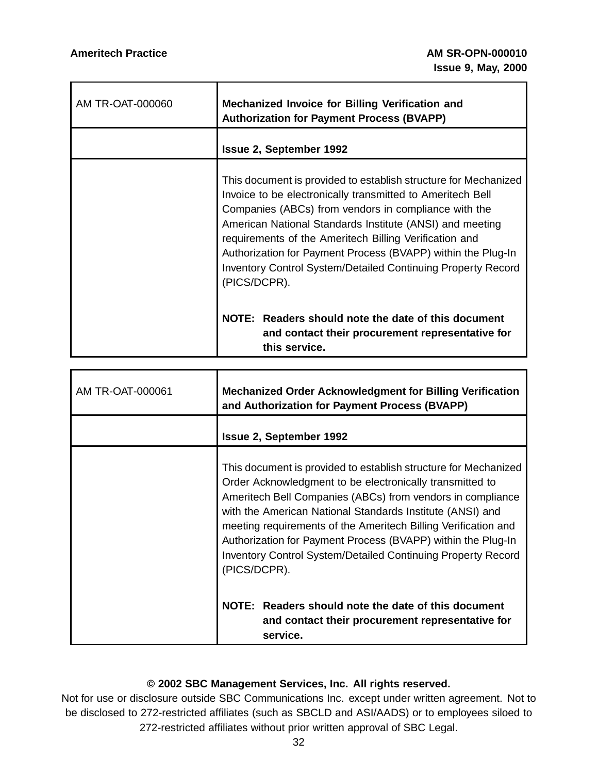т

г

 $\overline{\phantom{0}}$ 

| AM TR-OAT-000060 | Mechanized Invoice for Billing Verification and<br><b>Authorization for Payment Process (BVAPP)</b>                                                                                                                                                                                                                                                                                                                                                                |
|------------------|--------------------------------------------------------------------------------------------------------------------------------------------------------------------------------------------------------------------------------------------------------------------------------------------------------------------------------------------------------------------------------------------------------------------------------------------------------------------|
|                  | <b>Issue 2, September 1992</b>                                                                                                                                                                                                                                                                                                                                                                                                                                     |
|                  | This document is provided to establish structure for Mechanized<br>Invoice to be electronically transmitted to Ameritech Bell<br>Companies (ABCs) from vendors in compliance with the<br>American National Standards Institute (ANSI) and meeting<br>requirements of the Ameritech Billing Verification and<br>Authorization for Payment Process (BVAPP) within the Plug-In<br><b>Inventory Control System/Detailed Continuing Property Record</b><br>(PICS/DCPR). |
|                  | NOTE: Readers should note the date of this document<br>and contact their procurement representative for<br>this service.                                                                                                                                                                                                                                                                                                                                           |

| AM TR-OAT-000061 | <b>Mechanized Order Acknowledgment for Billing Verification</b><br>and Authorization for Payment Process (BVAPP)                                                                                                                                                                                                                                                                                                                                                                |
|------------------|---------------------------------------------------------------------------------------------------------------------------------------------------------------------------------------------------------------------------------------------------------------------------------------------------------------------------------------------------------------------------------------------------------------------------------------------------------------------------------|
|                  | <b>Issue 2, September 1992</b>                                                                                                                                                                                                                                                                                                                                                                                                                                                  |
|                  | This document is provided to establish structure for Mechanized<br>Order Acknowledgment to be electronically transmitted to<br>Ameritech Bell Companies (ABCs) from vendors in compliance<br>with the American National Standards Institute (ANSI) and<br>meeting requirements of the Ameritech Billing Verification and<br>Authorization for Payment Process (BVAPP) within the Plug-In<br><b>Inventory Control System/Detailed Continuing Property Record</b><br>(PICS/DCPR). |
|                  | NOTE: Readers should note the date of this document<br>and contact their procurement representative for<br>service.                                                                                                                                                                                                                                                                                                                                                             |

#### **© 2002 SBC Management Services, Inc. All rights reserved.**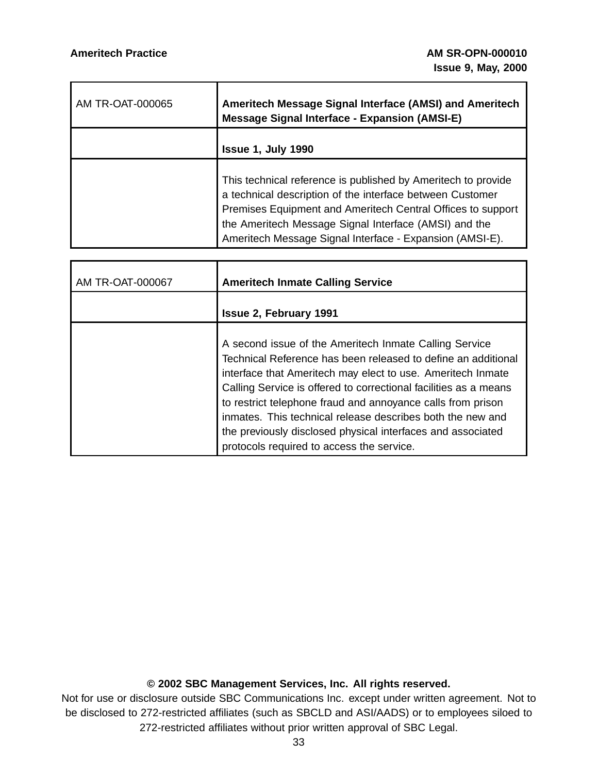Ē

 $\overline{\phantom{a}}$ 

| AM TR-OAT-000065 | Ameritech Message Signal Interface (AMSI) and Ameritech<br><b>Message Signal Interface - Expansion (AMSI-E)</b>                                                                                                                                                                                                |
|------------------|----------------------------------------------------------------------------------------------------------------------------------------------------------------------------------------------------------------------------------------------------------------------------------------------------------------|
|                  | Issue 1, July 1990                                                                                                                                                                                                                                                                                             |
|                  | This technical reference is published by Ameritech to provide<br>a technical description of the interface between Customer<br>Premises Equipment and Ameritech Central Offices to support<br>the Ameritech Message Signal Interface (AMSI) and the<br>Ameritech Message Signal Interface - Expansion (AMSI-E). |

| AM TR-OAT-000067 | <b>Ameritech Inmate Calling Service</b>                                                                                                                                                                                                                                                                                                                                                                                                                                                             |
|------------------|-----------------------------------------------------------------------------------------------------------------------------------------------------------------------------------------------------------------------------------------------------------------------------------------------------------------------------------------------------------------------------------------------------------------------------------------------------------------------------------------------------|
|                  | <b>Issue 2, February 1991</b>                                                                                                                                                                                                                                                                                                                                                                                                                                                                       |
|                  | A second issue of the Ameritech Inmate Calling Service<br>Technical Reference has been released to define an additional<br>interface that Ameritech may elect to use. Ameritech Inmate<br>Calling Service is offered to correctional facilities as a means<br>to restrict telephone fraud and annoyance calls from prison<br>inmates. This technical release describes both the new and<br>the previously disclosed physical interfaces and associated<br>protocols required to access the service. |

## **© 2002 SBC Management Services, Inc. All rights reserved.**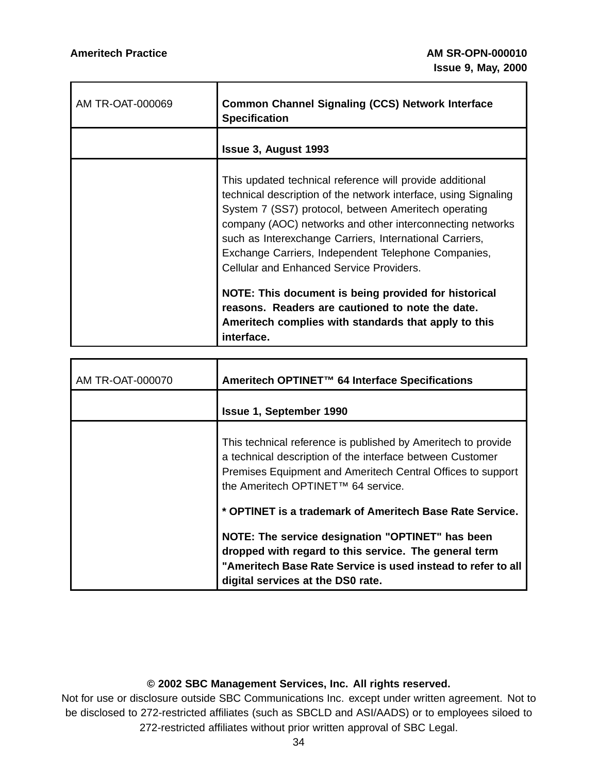T

Ē

 $\overline{\mathbf{r}}$ 

| AM TR-OAT-000069 | <b>Common Channel Signaling (CCS) Network Interface</b><br><b>Specification</b>                                                                                                                                                                                                                                                                                                                                       |
|------------------|-----------------------------------------------------------------------------------------------------------------------------------------------------------------------------------------------------------------------------------------------------------------------------------------------------------------------------------------------------------------------------------------------------------------------|
|                  | <b>Issue 3, August 1993</b>                                                                                                                                                                                                                                                                                                                                                                                           |
|                  | This updated technical reference will provide additional<br>technical description of the network interface, using Signaling<br>System 7 (SS7) protocol, between Ameritech operating<br>company (AOC) networks and other interconnecting networks<br>such as Interexchange Carriers, International Carriers,<br>Exchange Carriers, Independent Telephone Companies,<br><b>Cellular and Enhanced Service Providers.</b> |
|                  | NOTE: This document is being provided for historical<br>reasons. Readers are cautioned to note the date.<br>Ameritech complies with standards that apply to this<br>interface.                                                                                                                                                                                                                                        |

| AM TR-OAT-000070 | Ameritech OPTINET™ 64 Interface Specifications                                                                                                                                                                                  |
|------------------|---------------------------------------------------------------------------------------------------------------------------------------------------------------------------------------------------------------------------------|
|                  | <b>Issue 1, September 1990</b>                                                                                                                                                                                                  |
|                  | This technical reference is published by Ameritech to provide<br>a technical description of the interface between Customer<br>Premises Equipment and Ameritech Central Offices to support<br>the Ameritech OPTINET™ 64 service. |
|                  | * OPTINET is a trademark of Ameritech Base Rate Service.                                                                                                                                                                        |
|                  | NOTE: The service designation "OPTINET" has been<br>dropped with regard to this service. The general term<br>"Ameritech Base Rate Service is used instead to refer to all<br>digital services at the DS0 rate.                  |

#### **© 2002 SBC Management Services, Inc. All rights reserved.**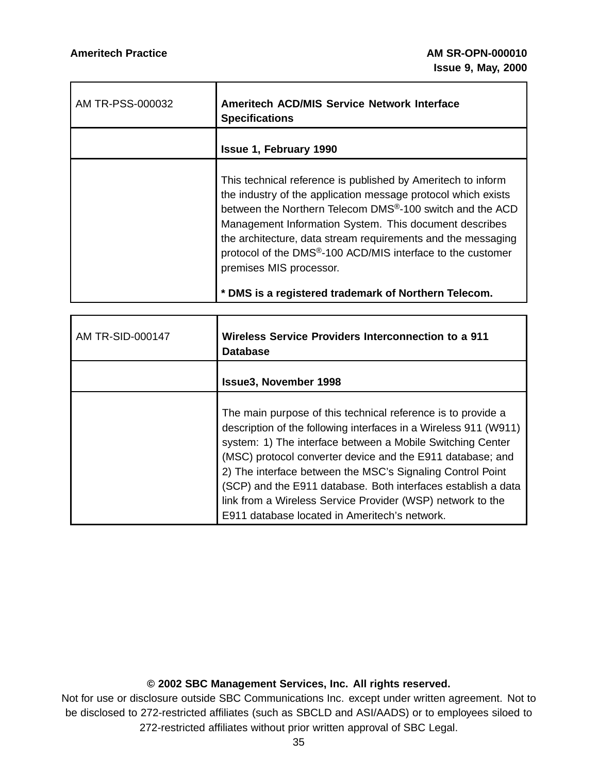h

| AM TR-PSS-000032 | <b>Ameritech ACD/MIS Service Network Interface</b><br><b>Specifications</b>                                                                                                                                                                                                                                                                                                                                                            |
|------------------|----------------------------------------------------------------------------------------------------------------------------------------------------------------------------------------------------------------------------------------------------------------------------------------------------------------------------------------------------------------------------------------------------------------------------------------|
|                  | <b>Issue 1, February 1990</b>                                                                                                                                                                                                                                                                                                                                                                                                          |
|                  | This technical reference is published by Ameritech to inform<br>the industry of the application message protocol which exists<br>between the Northern Telecom DMS <sup>®</sup> -100 switch and the ACD<br>Management Information System. This document describes<br>the architecture, data stream requirements and the messaging<br>protocol of the DMS <sup>®</sup> -100 ACD/MIS interface to the customer<br>premises MIS processor. |
|                  | * DMS is a registered trademark of Northern Telecom.                                                                                                                                                                                                                                                                                                                                                                                   |

| <b>AM TR-SID-000147</b> | Wireless Service Providers Interconnection to a 911<br><b>Database</b>                                                                                                                                                                                                                                                                                                                                                                                                                                     |
|-------------------------|------------------------------------------------------------------------------------------------------------------------------------------------------------------------------------------------------------------------------------------------------------------------------------------------------------------------------------------------------------------------------------------------------------------------------------------------------------------------------------------------------------|
|                         | <b>Issue3, November 1998</b>                                                                                                                                                                                                                                                                                                                                                                                                                                                                               |
|                         | The main purpose of this technical reference is to provide a<br>description of the following interfaces in a Wireless 911 (W911)<br>system: 1) The interface between a Mobile Switching Center<br>(MSC) protocol converter device and the E911 database; and<br>2) The interface between the MSC's Signaling Control Point<br>(SCP) and the E911 database. Both interfaces establish a data<br>link from a Wireless Service Provider (WSP) network to the<br>E911 database located in Ameritech's network. |

## **© 2002 SBC Management Services, Inc. All rights reserved.**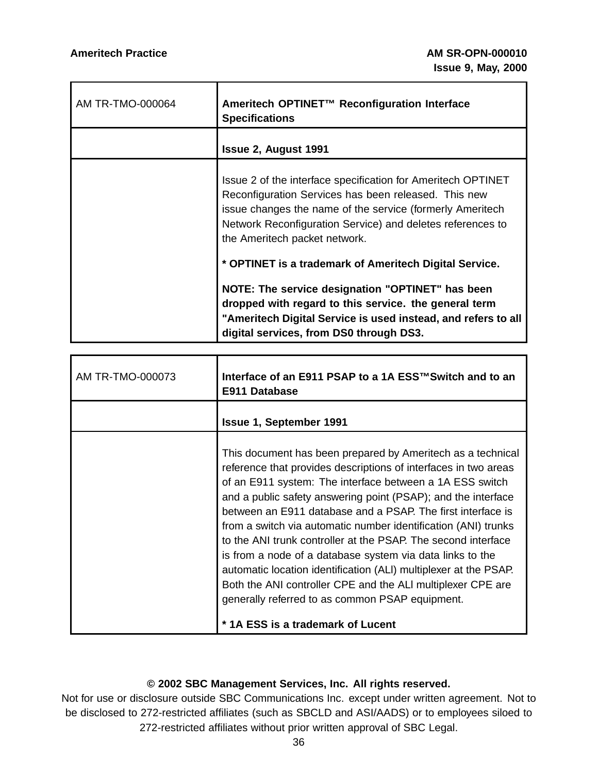| AM TR-TMO-000064 | Ameritech OPTINET™ Reconfiguration Interface<br><b>Specifications</b>                                                                                                                                                                                                            |
|------------------|----------------------------------------------------------------------------------------------------------------------------------------------------------------------------------------------------------------------------------------------------------------------------------|
|                  | <b>Issue 2, August 1991</b>                                                                                                                                                                                                                                                      |
|                  | Issue 2 of the interface specification for Ameritech OPTINET<br>Reconfiguration Services has been released. This new<br>issue changes the name of the service (formerly Ameritech<br>Network Reconfiguration Service) and deletes references to<br>the Ameritech packet network. |
|                  | * OPTINET is a trademark of Ameritech Digital Service.                                                                                                                                                                                                                           |
|                  | NOTE: The service designation "OPTINET" has been<br>dropped with regard to this service. the general term<br>"Ameritech Digital Service is used instead, and refers to all<br>digital services, from DS0 through DS3.                                                            |

| AM TR-TMO-000073 | Interface of an E911 PSAP to a 1A ESS™Switch and to an<br>E911 Database                                                                                                                                                                                                                                                                                                                                                                                                                                                                                                                                                                                                                                                                               |
|------------------|-------------------------------------------------------------------------------------------------------------------------------------------------------------------------------------------------------------------------------------------------------------------------------------------------------------------------------------------------------------------------------------------------------------------------------------------------------------------------------------------------------------------------------------------------------------------------------------------------------------------------------------------------------------------------------------------------------------------------------------------------------|
|                  | <b>Issue 1, September 1991</b>                                                                                                                                                                                                                                                                                                                                                                                                                                                                                                                                                                                                                                                                                                                        |
|                  | This document has been prepared by Ameritech as a technical<br>reference that provides descriptions of interfaces in two areas<br>of an E911 system: The interface between a 1A ESS switch<br>and a public safety answering point (PSAP); and the interface<br>between an E911 database and a PSAP. The first interface is<br>from a switch via automatic number identification (ANI) trunks<br>to the ANI trunk controller at the PSAP. The second interface<br>is from a node of a database system via data links to the<br>automatic location identification (ALI) multiplexer at the PSAP.<br>Both the ANI controller CPE and the ALI multiplexer CPE are<br>generally referred to as common PSAP equipment.<br>* 1A ESS is a trademark of Lucent |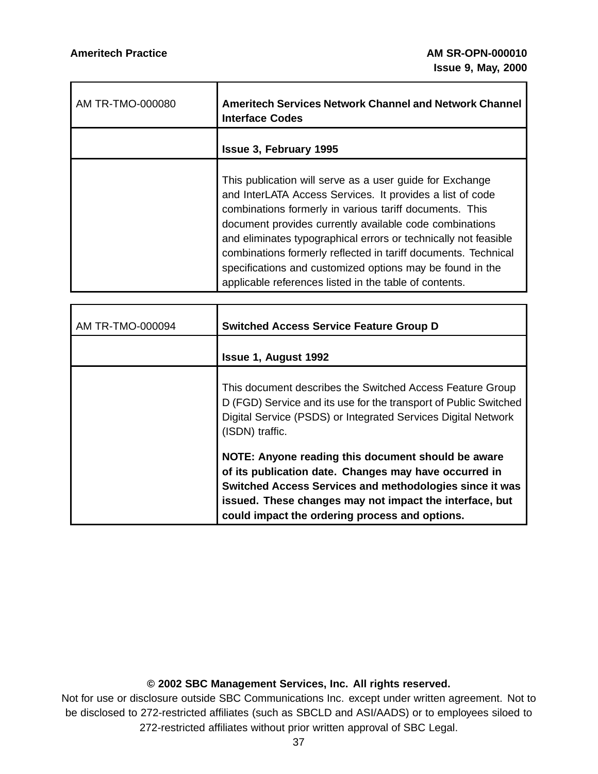$\overline{\mathbf{1}}$ 

| AM TR-TMO-000080 | <b>Ameritech Services Network Channel and Network Channel</b><br><b>Interface Codes</b>                                                                                                                                                                                                                                                                                                                                                                                                                 |
|------------------|---------------------------------------------------------------------------------------------------------------------------------------------------------------------------------------------------------------------------------------------------------------------------------------------------------------------------------------------------------------------------------------------------------------------------------------------------------------------------------------------------------|
|                  | <b>Issue 3, February 1995</b>                                                                                                                                                                                                                                                                                                                                                                                                                                                                           |
|                  | This publication will serve as a user guide for Exchange<br>and InterLATA Access Services. It provides a list of code<br>combinations formerly in various tariff documents. This<br>document provides currently available code combinations<br>and eliminates typographical errors or technically not feasible<br>combinations formerly reflected in tariff documents. Technical<br>specifications and customized options may be found in the<br>applicable references listed in the table of contents. |

 $\blacksquare$ 

| AM TR-TMO-000094 | <b>Switched Access Service Feature Group D</b>                                                                                                                                                                                                                                      |
|------------------|-------------------------------------------------------------------------------------------------------------------------------------------------------------------------------------------------------------------------------------------------------------------------------------|
|                  | <b>Issue 1, August 1992</b>                                                                                                                                                                                                                                                         |
|                  | This document describes the Switched Access Feature Group<br>D (FGD) Service and its use for the transport of Public Switched<br>Digital Service (PSDS) or Integrated Services Digital Network<br>(ISDN) traffic.                                                                   |
|                  | NOTE: Anyone reading this document should be aware<br>of its publication date. Changes may have occurred in<br>Switched Access Services and methodologies since it was<br>issued. These changes may not impact the interface, but<br>could impact the ordering process and options. |

# **© 2002 SBC Management Services, Inc. All rights reserved.**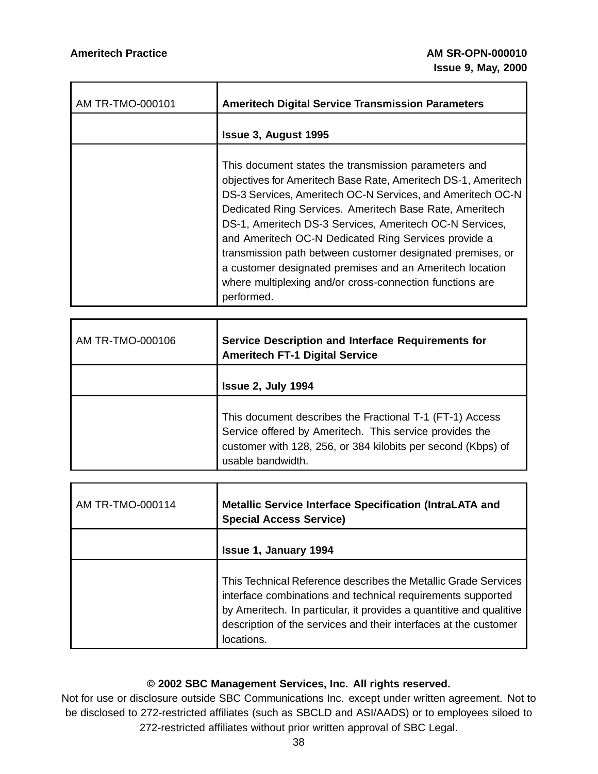| AM TR-TMO-000101 | <b>Ameritech Digital Service Transmission Parameters</b>                                                                                                                                                                                                                                                                                                                                                                                                                                                                                                              |
|------------------|-----------------------------------------------------------------------------------------------------------------------------------------------------------------------------------------------------------------------------------------------------------------------------------------------------------------------------------------------------------------------------------------------------------------------------------------------------------------------------------------------------------------------------------------------------------------------|
|                  | <b>Issue 3, August 1995</b>                                                                                                                                                                                                                                                                                                                                                                                                                                                                                                                                           |
|                  | This document states the transmission parameters and<br>objectives for Ameritech Base Rate, Ameritech DS-1, Ameritech<br>DS-3 Services, Ameritech OC-N Services, and Ameritech OC-N<br>Dedicated Ring Services. Ameritech Base Rate, Ameritech<br>DS-1, Ameritech DS-3 Services, Ameritech OC-N Services,<br>and Ameritech OC-N Dedicated Ring Services provide a<br>transmission path between customer designated premises, or<br>a customer designated premises and an Ameritech location<br>where multiplexing and/or cross-connection functions are<br>performed. |

| AM TR-TMO-000106 | Service Description and Interface Requirements for<br><b>Ameritech FT-1 Digital Service</b>                                                                                                              |
|------------------|----------------------------------------------------------------------------------------------------------------------------------------------------------------------------------------------------------|
|                  | <b>Issue 2, July 1994</b>                                                                                                                                                                                |
|                  | This document describes the Fractional T-1 (FT-1) Access<br>Service offered by Ameritech. This service provides the<br>customer with 128, 256, or 384 kilobits per second (Kbps) of<br>usable bandwidth. |

| AM TR-TMO-000114 | <b>Metallic Service Interface Specification (IntraLATA and</b><br><b>Special Access Service)</b>                                                                                                                                                                                       |
|------------------|----------------------------------------------------------------------------------------------------------------------------------------------------------------------------------------------------------------------------------------------------------------------------------------|
|                  | <b>Issue 1, January 1994</b>                                                                                                                                                                                                                                                           |
|                  | This Technical Reference describes the Metallic Grade Services<br>interface combinations and technical requirements supported<br>by Ameritech. In particular, it provides a quantitive and qualitive<br>description of the services and their interfaces at the customer<br>locations. |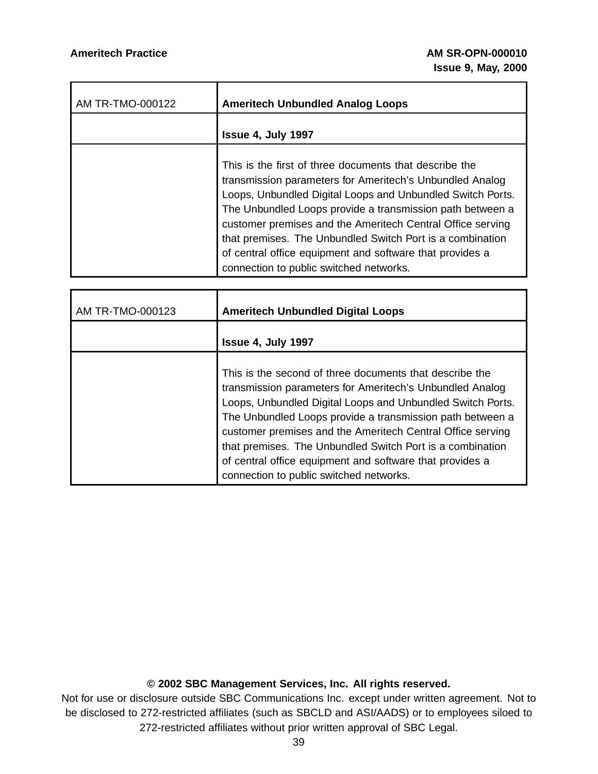| AM TR-TMO-000122 | <b>Ameritech Unbundled Analog Loops</b>                                                                                                                                                                                                                                                                                                                                                                                                                                         |
|------------------|---------------------------------------------------------------------------------------------------------------------------------------------------------------------------------------------------------------------------------------------------------------------------------------------------------------------------------------------------------------------------------------------------------------------------------------------------------------------------------|
|                  | Issue 4, July 1997                                                                                                                                                                                                                                                                                                                                                                                                                                                              |
|                  | This is the first of three documents that describe the<br>transmission parameters for Ameritech's Unbundled Analog<br>Loops, Unbundled Digital Loops and Unbundled Switch Ports.<br>The Unbundled Loops provide a transmission path between a<br>customer premises and the Ameritech Central Office serving<br>that premises. The Unbundled Switch Port is a combination<br>of central office equipment and software that provides a<br>connection to public switched networks. |

| AM TR-TMO-000123 | <b>Ameritech Unbundled Digital Loops</b>                                                                                                                                                                                                                                                                                                                                                                                                                                         |
|------------------|----------------------------------------------------------------------------------------------------------------------------------------------------------------------------------------------------------------------------------------------------------------------------------------------------------------------------------------------------------------------------------------------------------------------------------------------------------------------------------|
|                  | Issue 4, July 1997                                                                                                                                                                                                                                                                                                                                                                                                                                                               |
|                  | This is the second of three documents that describe the<br>transmission parameters for Ameritech's Unbundled Analog<br>Loops, Unbundled Digital Loops and Unbundled Switch Ports.<br>The Unbundled Loops provide a transmission path between a<br>customer premises and the Ameritech Central Office serving<br>that premises. The Unbundled Switch Port is a combination<br>of central office equipment and software that provides a<br>connection to public switched networks. |